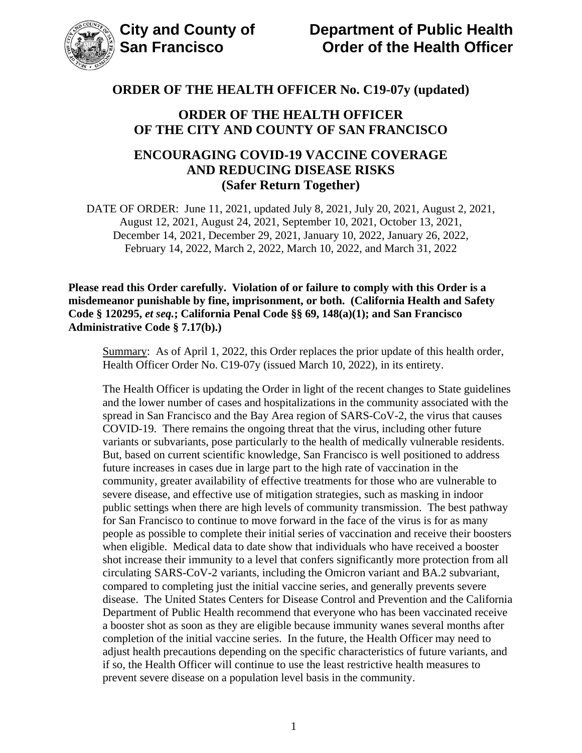

### **ORDER OF THE HEALTH OFFICER OF THE CITY AND COUNTY OF SAN FRANCISCO**

### **ENCOURAGING COVID-19 VACCINE COVERAGE AND REDUCING DISEASE RISKS (Safer Return Together)**

DATE OF ORDER: June 11, 2021, updated July 8, 2021, July 20, 2021, August 2, 2021, August 12, 2021, August 24, 2021, September 10, 2021, October 13, 2021, December 14, 2021, December 29, 2021, January 10, 2022, January 26, 2022, February 14, 2022, March 2, 2022, March 10, 2022, and March 31, 2022

**Please read this Order carefully. Violation of or failure to comply with this Order is a misdemeanor punishable by fine, imprisonment, or both. (California Health and Safety Code § 120295,** *et seq.***; California Penal Code §§ 69, 148(a)(1); and San Francisco Administrative Code § 7.17(b).)**

Summary: As of April 1, 2022, this Order replaces the prior update of this health order, Health Officer Order No. C19-07y (issued March 10, 2022), in its entirety.

The Health Officer is updating the Order in light of the recent changes to State guidelines and the lower number of cases and hospitalizations in the community associated with the spread in San Francisco and the Bay Area region of SARS-CoV-2, the virus that causes COVID-19. There remains the ongoing threat that the virus, including other future variants or subvariants, pose particularly to the health of medically vulnerable residents. But, based on current scientific knowledge, San Francisco is well positioned to address future increases in cases due in large part to the high rate of vaccination in the community, greater availability of effective treatments for those who are vulnerable to severe disease, and effective use of mitigation strategies, such as masking in indoor public settings when there are high levels of community transmission. The best pathway for San Francisco to continue to move forward in the face of the virus is for as many people as possible to complete their initial series of vaccination and receive their boosters when eligible. Medical data to date show that individuals who have received a booster shot increase their immunity to a level that confers significantly more protection from all circulating SARS-CoV-2 variants, including the Omicron variant and BA.2 subvariant, compared to completing just the initial vaccine series, and generally prevents severe disease. The United States Centers for Disease Control and Prevention and the California Department of Public Health recommend that everyone who has been vaccinated receive a booster shot as soon as they are eligible because immunity wanes several months after completion of the initial vaccine series. In the future, the Health Officer may need to adjust health precautions depending on the specific characteristics of future variants, and if so, the Health Officer will continue to use the least restrictive health measures to prevent severe disease on a population level basis in the community.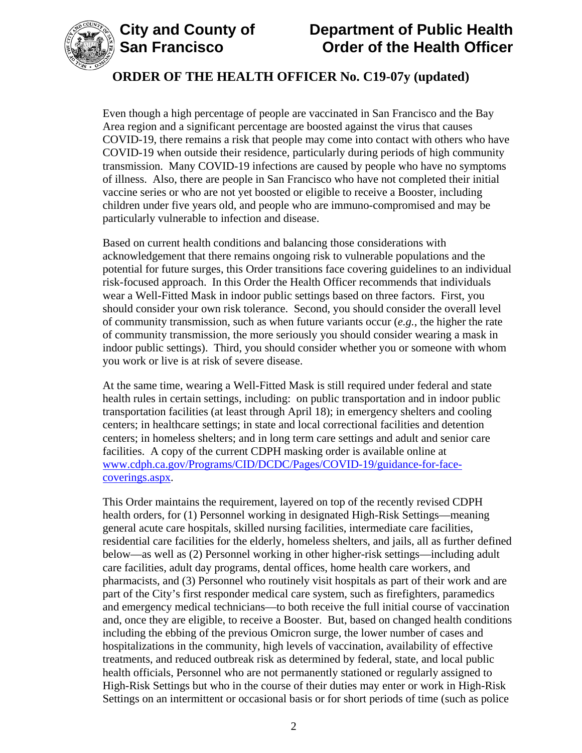



Even though a high percentage of people are vaccinated in San Francisco and the Bay Area region and a significant percentage are boosted against the virus that causes COVID-19, there remains a risk that people may come into contact with others who have COVID-19 when outside their residence, particularly during periods of high community transmission. Many COVID-19 infections are caused by people who have no symptoms of illness. Also, there are people in San Francisco who have not completed their initial vaccine series or who are not yet boosted or eligible to receive a Booster, including children under five years old, and people who are immuno-compromised and may be particularly vulnerable to infection and disease.

Based on current health conditions and balancing those considerations with acknowledgement that there remains ongoing risk to vulnerable populations and the potential for future surges, this Order transitions face covering guidelines to an individual risk-focused approach. In this Order the Health Officer recommends that individuals wear a Well-Fitted Mask in indoor public settings based on three factors. First, you should consider your own risk tolerance. Second, you should consider the overall level of community transmission, such as when future variants occur (*e.g.*, the higher the rate of community transmission, the more seriously you should consider wearing a mask in indoor public settings). Third, you should consider whether you or someone with whom you work or live is at risk of severe disease.

At the same time, wearing a Well-Fitted Mask is still required under federal and state health rules in certain settings, including: on public transportation and in indoor public transportation facilities (at least through April 18); in emergency shelters and cooling centers; in healthcare settings; in state and local correctional facilities and detention centers; in homeless shelters; and in long term care settings and adult and senior care facilities. A copy of the current CDPH masking order is available online at [www.cdph.ca.gov/Programs/CID/DCDC/Pages/COVID-19/guidance-for-face](https://www.cdph.ca.gov/Programs/CID/DCDC/Pages/COVID-19/guidance-for-face-coverings.aspx)[coverings.aspx.](https://www.cdph.ca.gov/Programs/CID/DCDC/Pages/COVID-19/guidance-for-face-coverings.aspx)

This Order maintains the requirement, layered on top of the recently revised CDPH health orders, for (1) Personnel working in designated High-Risk Settings—meaning general acute care hospitals, skilled nursing facilities, intermediate care facilities, residential care facilities for the elderly, homeless shelters, and jails, all as further defined below—as well as (2) Personnel working in other higher-risk settings—including adult care facilities, adult day programs, dental offices, home health care workers, and pharmacists, and (3) Personnel who routinely visit hospitals as part of their work and are part of the City's first responder medical care system, such as firefighters, paramedics and emergency medical technicians—to both receive the full initial course of vaccination and, once they are eligible, to receive a Booster. But, based on changed health conditions including the ebbing of the previous Omicron surge, the lower number of cases and hospitalizations in the community, high levels of vaccination, availability of effective treatments, and reduced outbreak risk as determined by federal, state, and local public health officials, Personnel who are not permanently stationed or regularly assigned to High-Risk Settings but who in the course of their duties may enter or work in High-Risk Settings on an intermittent or occasional basis or for short periods of time (such as police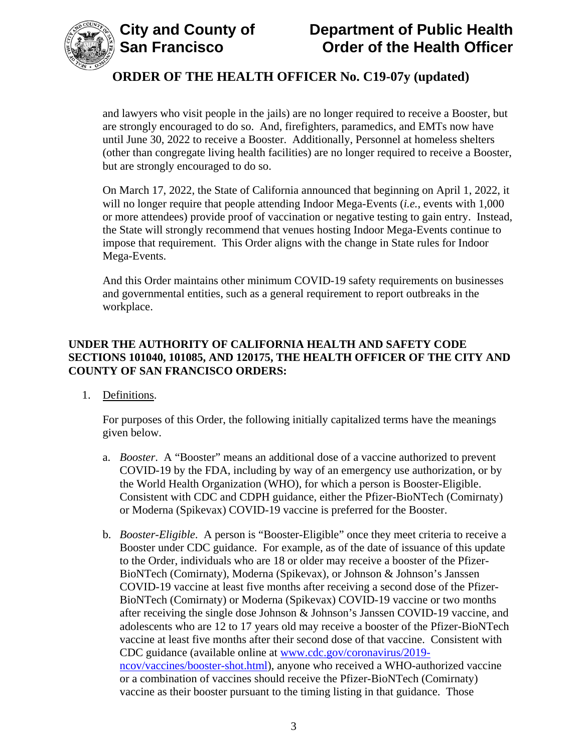

and lawyers who visit people in the jails) are no longer required to receive a Booster, but are strongly encouraged to do so. And, firefighters, paramedics, and EMTs now have until June 30, 2022 to receive a Booster. Additionally, Personnel at homeless shelters (other than congregate living health facilities) are no longer required to receive a Booster, but are strongly encouraged to do so.

On March 17, 2022, the State of California announced that beginning on April 1, 2022, it will no longer require that people attending Indoor Mega-Events (*i.e.*, events with 1,000 or more attendees) provide proof of vaccination or negative testing to gain entry. Instead, the State will strongly recommend that venues hosting Indoor Mega-Events continue to impose that requirement. This Order aligns with the change in State rules for Indoor Mega-Events.

And this Order maintains other minimum COVID-19 safety requirements on businesses and governmental entities, such as a general requirement to report outbreaks in the workplace.

#### **UNDER THE AUTHORITY OF CALIFORNIA HEALTH AND SAFETY CODE SECTIONS 101040, 101085, AND 120175, THE HEALTH OFFICER OF THE CITY AND COUNTY OF SAN FRANCISCO ORDERS:**

1. Definitions.

For purposes of this Order, the following initially capitalized terms have the meanings given below.

- a. *Booster*. A "Booster" means an additional dose of a vaccine authorized to prevent COVID-19 by the FDA, including by way of an emergency use authorization, or by the World Health Organization (WHO), for which a person is Booster-Eligible. Consistent with CDC and CDPH guidance, either the Pfizer-BioNTech (Comirnaty) or Moderna (Spikevax) COVID-19 vaccine is preferred for the Booster.
- b. *Booster-Eligible*. A person is "Booster-Eligible" once they meet criteria to receive a Booster under CDC guidance. For example, as of the date of issuance of this update to the Order, individuals who are 18 or older may receive a booster of the Pfizer-BioNTech (Comirnaty), Moderna (Spikevax), or Johnson & Johnson's Janssen COVID-19 vaccine at least five months after receiving a second dose of the Pfizer-BioNTech (Comirnaty) or Moderna (Spikevax) COVID-19 vaccine or two months after receiving the single dose Johnson & Johnson's Janssen COVID-19 vaccine, and adolescents who are 12 to 17 years old may receive a booster of the Pfizer-BioNTech vaccine at least five months after their second dose of that vaccine. Consistent with CDC guidance (available online at [www.cdc.gov/coronavirus/2019](https://www.cdc.gov/coronavirus/2019-ncov/vaccines/booster-shot.html) [ncov/vaccines/booster-shot.html\)](https://www.cdc.gov/coronavirus/2019-ncov/vaccines/booster-shot.html), anyone who received a WHO-authorized vaccine or a combination of vaccines should receive the Pfizer-BioNTech (Comirnaty) vaccine as their booster pursuant to the timing listing in that guidance. Those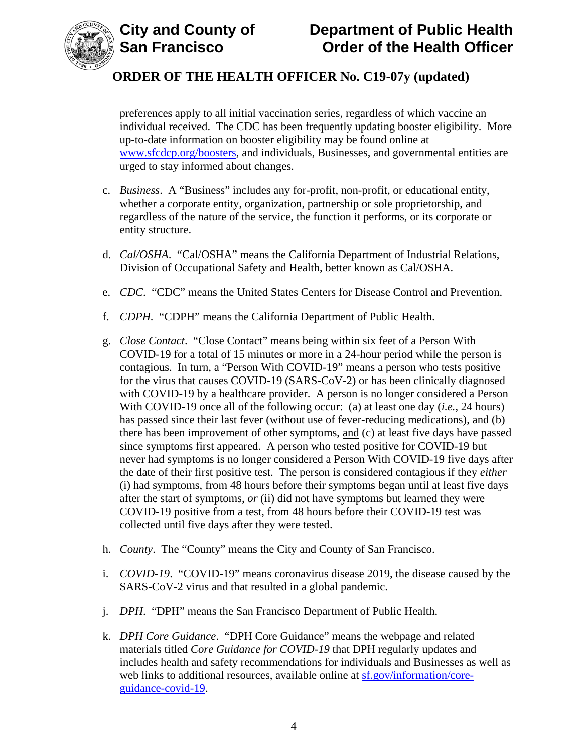

# **City and County of County of Department of Public Health<br>
San Francisco Corder of the Health Officer Order of the Health Officer**

# **ORDER OF THE HEALTH OFFICER No. C19-07y (updated)**

preferences apply to all initial vaccination series, regardless of which vaccine an individual received. The CDC has been frequently updating booster eligibility. More up-to-date information on booster eligibility may be found online at [www.sfcdcp.org/boosters,](https://www.sfcdcp.org/boosters) and individuals, Businesses, and governmental entities are urged to stay informed about changes.

- c. *Business*. A "Business" includes any for-profit, non-profit, or educational entity, whether a corporate entity, organization, partnership or sole proprietorship, and regardless of the nature of the service, the function it performs, or its corporate or entity structure.
- d. *Cal/OSHA*. "Cal/OSHA" means the California Department of Industrial Relations, Division of Occupational Safety and Health, better known as Cal/OSHA.
- e. *CDC*. "CDC" means the United States Centers for Disease Control and Prevention.
- f. *CDPH.* "CDPH" means the California Department of Public Health.
- g. *Close Contact*. "Close Contact" means being within six feet of a Person With COVID-19 for a total of 15 minutes or more in a 24-hour period while the person is contagious. In turn, a "Person With COVID-19" means a person who tests positive for the virus that causes COVID-19 (SARS-CoV-2) or has been clinically diagnosed with COVID-19 by a healthcare provider. A person is no longer considered a Person With COVID-19 once all of the following occur: (a) at least one day (*i.e.*, 24 hours) has passed since their last fever (without use of fever-reducing medications), and (b) there has been improvement of other symptoms, and (c) at least five days have passed since symptoms first appeared. A person who tested positive for COVID-19 but never had symptoms is no longer considered a Person With COVID-19 five days after the date of their first positive test. The person is considered contagious if they *either* (i) had symptoms, from 48 hours before their symptoms began until at least five days after the start of symptoms, *or* (ii) did not have symptoms but learned they were COVID-19 positive from a test, from 48 hours before their COVID-19 test was collected until five days after they were tested.
- h. *County*. The "County" means the City and County of San Francisco.
- i. *COVID-19*. "COVID-19" means coronavirus disease 2019, the disease caused by the SARS-CoV-2 virus and that resulted in a global pandemic.
- j. *DPH*. "DPH" means the San Francisco Department of Public Health.
- k. *DPH Core Guidance*. "DPH Core Guidance" means the webpage and related materials titled *Core Guidance for COVID-19* that DPH regularly updates and includes health and safety recommendations for individuals and Businesses as well as web links to additional resources, available online at [sf.gov/information/core](https://sf.gov/information/core-guidance-covid-19)[guidance-covid-19.](https://sf.gov/information/core-guidance-covid-19)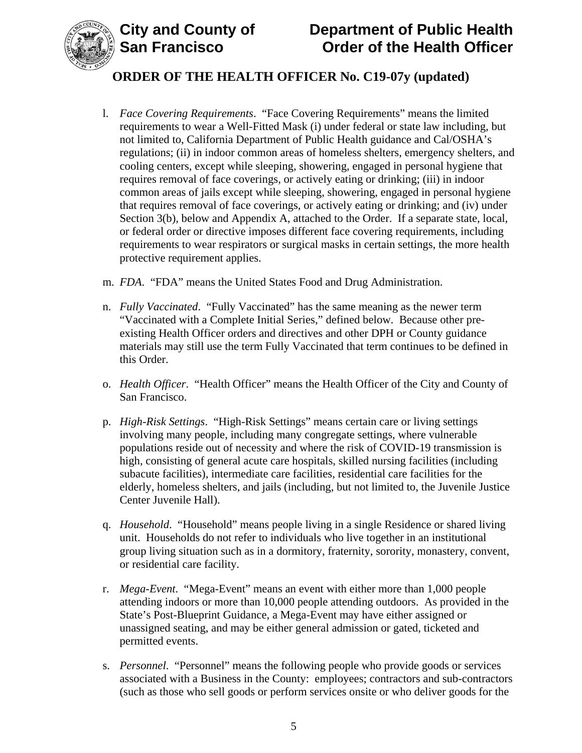

- l. *Face Covering Requirements*. "Face Covering Requirements" means the limited requirements to wear a Well-Fitted Mask (i) under federal or state law including, but not limited to, California Department of Public Health guidance and Cal/OSHA's regulations; (ii) in indoor common areas of homeless shelters, emergency shelters, and cooling centers, except while sleeping, showering, engaged in personal hygiene that requires removal of face coverings, or actively eating or drinking; (iii) in indoor common areas of jails except while sleeping, showering, engaged in personal hygiene that requires removal of face coverings, or actively eating or drinking; and (iv) under Section 3(b), below and Appendix A, attached to the Order. If a separate state, local, or federal order or directive imposes different face covering requirements, including requirements to wear respirators or surgical masks in certain settings, the more health protective requirement applies.
- m. *FDA*. "FDA" means the United States Food and Drug Administration.
- n. *Fully Vaccinated*. "Fully Vaccinated" has the same meaning as the newer term "Vaccinated with a Complete Initial Series," defined below. Because other preexisting Health Officer orders and directives and other DPH or County guidance materials may still use the term Fully Vaccinated that term continues to be defined in this Order.
- o. *Health Officer*. "Health Officer" means the Health Officer of the City and County of San Francisco.
- p. *High-Risk Settings*. "High-Risk Settings" means certain care or living settings involving many people, including many congregate settings, where vulnerable populations reside out of necessity and where the risk of COVID-19 transmission is high, consisting of general acute care hospitals, skilled nursing facilities (including subacute facilities), intermediate care facilities, residential care facilities for the elderly, homeless shelters, and jails (including, but not limited to, the Juvenile Justice Center Juvenile Hall).
- q. *Household*. "Household" means people living in a single Residence or shared living unit. Households do not refer to individuals who live together in an institutional group living situation such as in a dormitory, fraternity, sorority, monastery, convent, or residential care facility.
- r. *Mega-Event*. "Mega-Event" means an event with either more than 1,000 people attending indoors or more than 10,000 people attending outdoors. As provided in the State's Post-Blueprint Guidance, a Mega-Event may have either assigned or unassigned seating, and may be either general admission or gated, ticketed and permitted events.
- s. *Personnel*."Personnel" means the following people who provide goods or services associated with a Business in the County: employees; contractors and sub-contractors (such as those who sell goods or perform services onsite or who deliver goods for the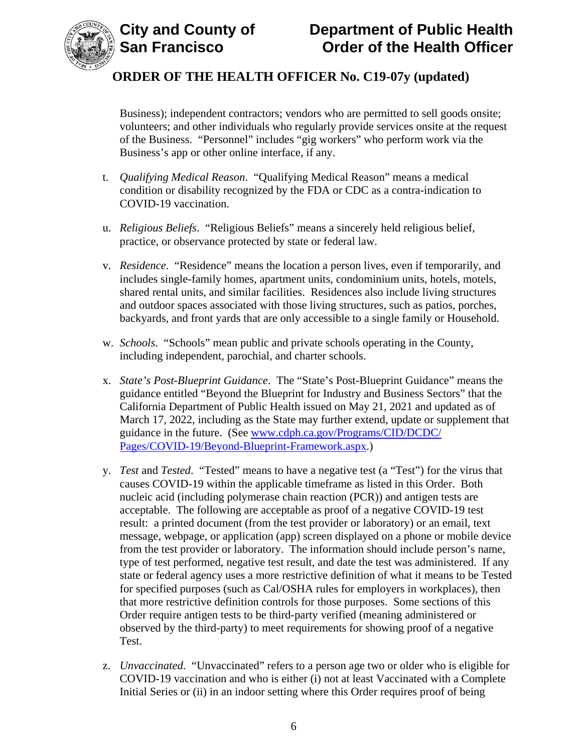

Business); independent contractors; vendors who are permitted to sell goods onsite; volunteers; and other individuals who regularly provide services onsite at the request of the Business. "Personnel" includes "gig workers" who perform work via the Business's app or other online interface, if any.

- t. *Qualifying Medical Reason*. "Qualifying Medical Reason" means a medical condition or disability recognized by the FDA or CDC as a contra-indication to COVID-19 vaccination.
- u. *Religious Beliefs*. "Religious Beliefs" means a sincerely held religious belief, practice, or observance protected by state or federal law.
- v. *Residence*. "Residence" means the location a person lives, even if temporarily, and includes single-family homes, apartment units, condominium units, hotels, motels, shared rental units, and similar facilities. Residences also include living structures and outdoor spaces associated with those living structures, such as patios, porches, backyards, and front yards that are only accessible to a single family or Household.
- w. *Schools*. "Schools" mean public and private schools operating in the County, including independent, parochial, and charter schools.
- x. *State's Post-Blueprint Guidance*. The "State's Post-Blueprint Guidance" means the guidance entitled "Beyond the Blueprint for Industry and Business Sectors" that the California Department of Public Health issued on May 21, 2021 and updated as of March 17, 2022, including as the State may further extend, update or supplement that guidance in the future. (See [www.cdph.ca.gov/Programs/CID/DCDC/](http://www.cdph.ca.gov/Programs/CID/DCDC/Pages/COVID-19/Beyond-Blueprint-Framework.aspx) [Pages/COVID-19/Beyond-Blueprint-Framework.aspx.](http://www.cdph.ca.gov/Programs/CID/DCDC/Pages/COVID-19/Beyond-Blueprint-Framework.aspx))
- y. *Test* and *Tested*. "Tested" means to have a negative test (a "Test") for the virus that causes COVID-19 within the applicable timeframe as listed in this Order. Both nucleic acid (including polymerase chain reaction (PCR)) and antigen tests are acceptable. The following are acceptable as proof of a negative COVID-19 test result: a printed document (from the test provider or laboratory) or an email, text message, webpage, or application (app) screen displayed on a phone or mobile device from the test provider or laboratory. The information should include person's name, type of test performed, negative test result, and date the test was administered. If any state or federal agency uses a more restrictive definition of what it means to be Tested for specified purposes (such as Cal/OSHA rules for employers in workplaces), then that more restrictive definition controls for those purposes. Some sections of this Order require antigen tests to be third-party verified (meaning administered or observed by the third-party) to meet requirements for showing proof of a negative Test.
- z. *Unvaccinated*. "Unvaccinated" refers to a person age two or older who is eligible for COVID-19 vaccination and who is either (i) not at least Vaccinated with a Complete Initial Series or (ii) in an indoor setting where this Order requires proof of being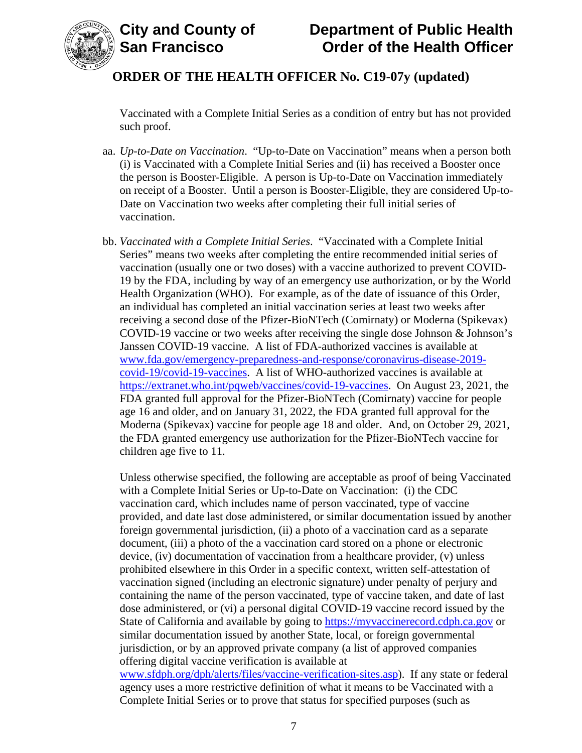

Vaccinated with a Complete Initial Series as a condition of entry but has not provided such proof.

- aa. *Up-to-Date on Vaccination*. "Up-to-Date on Vaccination" means when a person both (i) is Vaccinated with a Complete Initial Series and (ii) has received a Booster once the person is Booster-Eligible. A person is Up-to-Date on Vaccination immediately on receipt of a Booster. Until a person is Booster-Eligible, they are considered Up-to-Date on Vaccination two weeks after completing their full initial series of vaccination.
- bb. *Vaccinated with a Complete Initial Series*. "Vaccinated with a Complete Initial Series" means two weeks after completing the entire recommended initial series of vaccination (usually one or two doses) with a vaccine authorized to prevent COVID-19 by the FDA, including by way of an emergency use authorization, or by the World Health Organization (WHO). For example, as of the date of issuance of this Order, an individual has completed an initial vaccination series at least two weeks after receiving a second dose of the Pfizer-BioNTech (Comirnaty) or Moderna (Spikevax) COVID-19 vaccine or two weeks after receiving the single dose Johnson & Johnson's Janssen COVID-19 vaccine. A list of FDA-authorized vaccines is available at [www.fda.gov/emergency-preparedness-and-response/coronavirus-disease-2019](https://www.fda.gov/emergency-preparedness-and-response/coronavirus-disease-2019-covid-19/covid-19-vaccines) [covid-19/covid-19-vaccines.](https://www.fda.gov/emergency-preparedness-and-response/coronavirus-disease-2019-covid-19/covid-19-vaccines) A list of WHO-authorized vaccines is available at [https://extranet.who.int/pqweb/vaccines/covid-19-vaccines.](https://extranet.who.int/pqweb/vaccines/covid-19-vaccines) On August 23, 2021, the FDA granted full approval for the Pfizer-BioNTech (Comirnaty) vaccine for people age 16 and older, and on January 31, 2022, the FDA granted full approval for the Moderna (Spikevax) vaccine for people age 18 and older. And, on October 29, 2021, the FDA granted emergency use authorization for the Pfizer-BioNTech vaccine for children age five to 11.

Unless otherwise specified, the following are acceptable as proof of being Vaccinated with a Complete Initial Series or Up-to-Date on Vaccination: (i) the CDC vaccination card, which includes name of person vaccinated, type of vaccine provided, and date last dose administered, or similar documentation issued by another foreign governmental jurisdiction, (ii) a photo of a vaccination card as a separate document, (iii) a photo of the a vaccination card stored on a phone or electronic device, (iv) documentation of vaccination from a healthcare provider, (v) unless prohibited elsewhere in this Order in a specific context, written self-attestation of vaccination signed (including an electronic signature) under penalty of perjury and containing the name of the person vaccinated, type of vaccine taken, and date of last dose administered, or (vi) a personal digital COVID-19 vaccine record issued by the State of California and available by going to [https://myvaccinerecord.cdph.ca.gov](https://myvaccinerecord.cdph.ca.gov/) or similar documentation issued by another State, local, or foreign governmental jurisdiction, or by an approved private company (a list of approved companies offering digital vaccine verification is available at [www.sfdph.org/dph/alerts/files/vaccine-verification-sites.asp\)](https://www.sfdph.org/dph/alerts/files/vaccine-verification-sites.asp). If any state or federal agency uses a more restrictive definition of what it means to be Vaccinated with a

Complete Initial Series or to prove that status for specified purposes (such as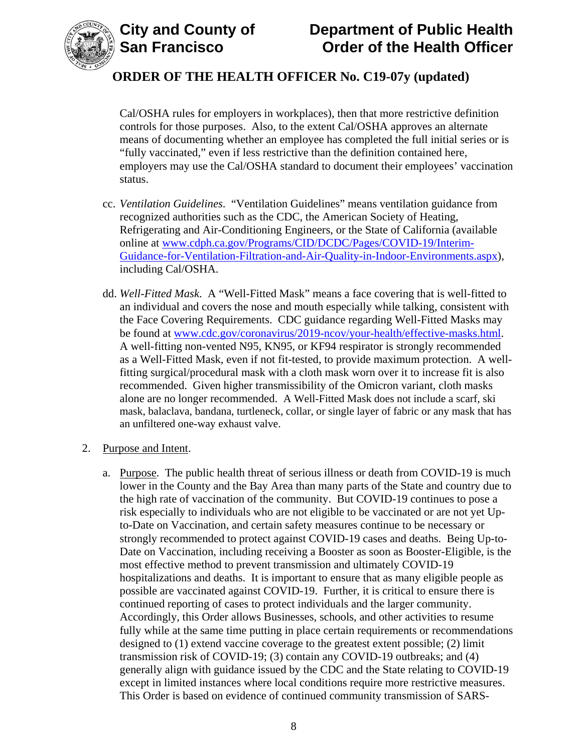

Cal/OSHA rules for employers in workplaces), then that more restrictive definition controls for those purposes. Also, to the extent Cal/OSHA approves an alternate means of documenting whether an employee has completed the full initial series or is "fully vaccinated," even if less restrictive than the definition contained here, employers may use the Cal/OSHA standard to document their employees' vaccination status.

- cc. *Ventilation Guidelines*. "Ventilation Guidelines" means ventilation guidance from recognized authorities such as the CDC, the American Society of Heating, Refrigerating and Air-Conditioning Engineers, or the State of California (available online at [www.cdph.ca.gov/Programs/CID/DCDC/Pages/COVID-19/Interim-](https://www.cdph.ca.gov/Programs/CID/DCDC/Pages/COVID-19/Interim-Guidance-for-Ventilation-Filtration-and-Air-Quality-in-Indoor-Environments.aspx)[Guidance-for-Ventilation-Filtration-and-Air-Quality-in-Indoor-Environments.aspx\)](https://www.cdph.ca.gov/Programs/CID/DCDC/Pages/COVID-19/Interim-Guidance-for-Ventilation-Filtration-and-Air-Quality-in-Indoor-Environments.aspx), including Cal/OSHA.
- dd. *Well-Fitted Mask*. A "Well-Fitted Mask" means a face covering that is well-fitted to an individual and covers the nose and mouth especially while talking, consistent with the Face Covering Requirements. CDC guidance regarding Well-Fitted Masks may be found at [www.cdc.gov/coronavirus/2019-ncov/your-health/effective-masks.html.](https://www.cdc.gov/coronavirus/2019-ncov/your-health/effective-masks.html) A well-fitting non-vented N95, KN95, or KF94 respirator is strongly recommended as a Well-Fitted Mask, even if not fit-tested, to provide maximum protection. A wellfitting surgical/procedural mask with a cloth mask worn over it to increase fit is also recommended. Given higher transmissibility of the Omicron variant, cloth masks alone are no longer recommended. A Well-Fitted Mask does not include a scarf, ski mask, balaclava, bandana, turtleneck, collar, or single layer of fabric or any mask that has an unfiltered one-way exhaust valve.
- 2. Purpose and Intent.
	- a. Purpose. The public health threat of serious illness or death from COVID-19 is much lower in the County and the Bay Area than many parts of the State and country due to the high rate of vaccination of the community. But COVID-19 continues to pose a risk especially to individuals who are not eligible to be vaccinated or are not yet Upto-Date on Vaccination, and certain safety measures continue to be necessary or strongly recommended to protect against COVID-19 cases and deaths. Being Up-to-Date on Vaccination, including receiving a Booster as soon as Booster-Eligible, is the most effective method to prevent transmission and ultimately COVID-19 hospitalizations and deaths. It is important to ensure that as many eligible people as possible are vaccinated against COVID-19. Further, it is critical to ensure there is continued reporting of cases to protect individuals and the larger community. Accordingly, this Order allows Businesses, schools, and other activities to resume fully while at the same time putting in place certain requirements or recommendations designed to (1) extend vaccine coverage to the greatest extent possible; (2) limit transmission risk of COVID-19; (3) contain any COVID-19 outbreaks; and (4) generally align with guidance issued by the CDC and the State relating to COVID-19 except in limited instances where local conditions require more restrictive measures. This Order is based on evidence of continued community transmission of SARS-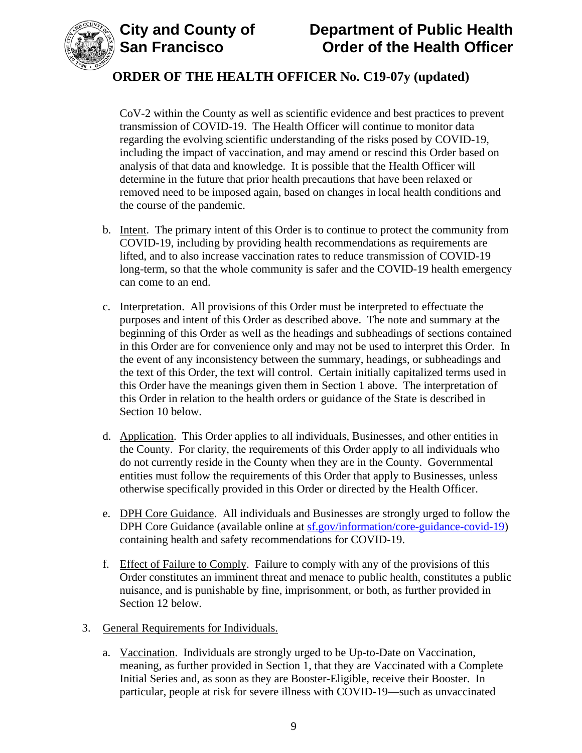

# **City and County of Department of Public Health Order of the Health Officer**

# **ORDER OF THE HEALTH OFFICER No. C19-07y (updated)**

CoV-2 within the County as well as scientific evidence and best practices to prevent transmission of COVID-19. The Health Officer will continue to monitor data regarding the evolving scientific understanding of the risks posed by COVID-19, including the impact of vaccination, and may amend or rescind this Order based on analysis of that data and knowledge. It is possible that the Health Officer will determine in the future that prior health precautions that have been relaxed or removed need to be imposed again, based on changes in local health conditions and the course of the pandemic.

- b. Intent. The primary intent of this Order is to continue to protect the community from COVID-19, including by providing health recommendations as requirements are lifted, and to also increase vaccination rates to reduce transmission of COVID-19 long-term, so that the whole community is safer and the COVID-19 health emergency can come to an end.
- c. Interpretation. All provisions of this Order must be interpreted to effectuate the purposes and intent of this Order as described above. The note and summary at the beginning of this Order as well as the headings and subheadings of sections contained in this Order are for convenience only and may not be used to interpret this Order. In the event of any inconsistency between the summary, headings, or subheadings and the text of this Order, the text will control. Certain initially capitalized terms used in this Order have the meanings given them in Section 1 above. The interpretation of this Order in relation to the health orders or guidance of the State is described in Section 10 below.
- d. Application. This Order applies to all individuals, Businesses, and other entities in the County. For clarity, the requirements of this Order apply to all individuals who do not currently reside in the County when they are in the County. Governmental entities must follow the requirements of this Order that apply to Businesses, unless otherwise specifically provided in this Order or directed by the Health Officer.
- e. DPH Core Guidance. All individuals and Businesses are strongly urged to follow the DPH Core Guidance (available online at [sf.gov/information/core-guidance-covid-19\)](https://sf.gov/information/core-guidance-covid-19) containing health and safety recommendations for COVID-19.
- f. Effect of Failure to Comply. Failure to comply with any of the provisions of this Order constitutes an imminent threat and menace to public health, constitutes a public nuisance, and is punishable by fine, imprisonment, or both, as further provided in Section 12 below.
- 3. General Requirements for Individuals.
	- a. Vaccination. Individuals are strongly urged to be Up-to-Date on Vaccination, meaning, as further provided in Section 1, that they are Vaccinated with a Complete Initial Series and, as soon as they are Booster-Eligible, receive their Booster. In particular, people at risk for severe illness with COVID-19—such as unvaccinated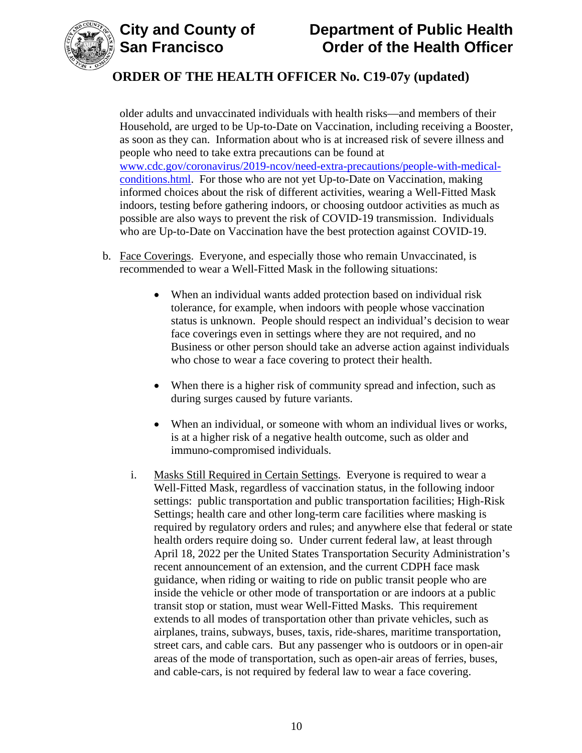



older adults and unvaccinated individuals with health risks—and members of their Household, are urged to be Up-to-Date on Vaccination, including receiving a Booster, as soon as they can. Information about who is at increased risk of severe illness and people who need to take extra precautions can be found at [www.cdc.gov/coronavirus/2019-ncov/need-extra-precautions/people-with-medical](https://www.cdc.gov/coronavirus/2019-ncov/need-extra-precautions/people-with-medical-conditions.html)[conditions.html.](https://www.cdc.gov/coronavirus/2019-ncov/need-extra-precautions/people-with-medical-conditions.html) For those who are not yet Up-to-Date on Vaccination, making informed choices about the risk of different activities, wearing a Well-Fitted Mask indoors, testing before gathering indoors, or choosing outdoor activities as much as possible are also ways to prevent the risk of COVID-19 transmission. Individuals who are Up-to-Date on Vaccination have the best protection against COVID-19.

- b. Face Coverings. Everyone, and especially those who remain Unvaccinated, is recommended to wear a Well-Fitted Mask in the following situations:
	- When an individual wants added protection based on individual risk tolerance, for example, when indoors with people whose vaccination status is unknown. People should respect an individual's decision to wear face coverings even in settings where they are not required, and no Business or other person should take an adverse action against individuals who chose to wear a face covering to protect their health.
	- When there is a higher risk of community spread and infection, such as during surges caused by future variants.
	- When an individual, or someone with whom an individual lives or works, is at a higher risk of a negative health outcome, such as older and immuno-compromised individuals.
	- i. Masks Still Required in Certain Settings. Everyone is required to wear a Well-Fitted Mask, regardless of vaccination status, in the following indoor settings: public transportation and public transportation facilities; High-Risk Settings; health care and other long-term care facilities where masking is required by regulatory orders and rules; and anywhere else that federal or state health orders require doing so. Under current federal law, at least through April 18, 2022 per the United States Transportation Security Administration's recent announcement of an extension, and the current CDPH face mask guidance, when riding or waiting to ride on public transit people who are inside the vehicle or other mode of transportation or are indoors at a public transit stop or station, must wear Well-Fitted Masks. This requirement extends to all modes of transportation other than private vehicles, such as airplanes, trains, subways, buses, taxis, ride-shares, maritime transportation, street cars, and cable cars. But any passenger who is outdoors or in open-air areas of the mode of transportation, such as open-air areas of ferries, buses, and cable-cars, is not required by federal law to wear a face covering.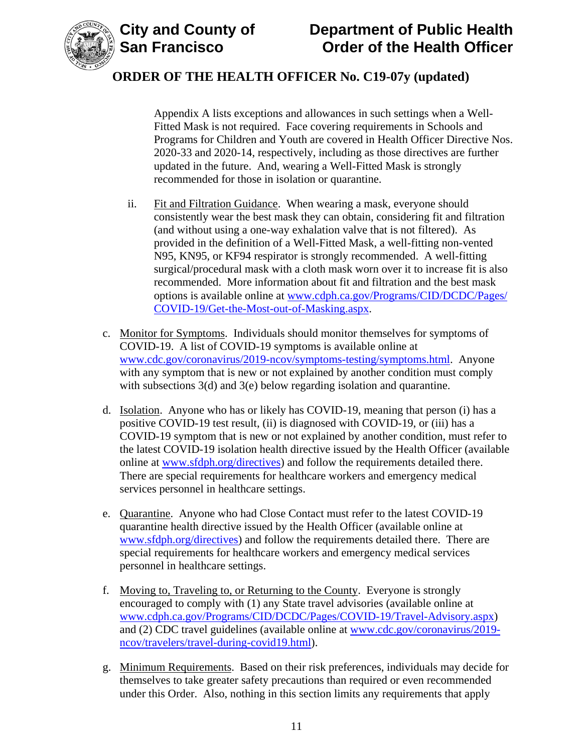



Appendix A lists exceptions and allowances in such settings when a Well-Fitted Mask is not required. Face covering requirements in Schools and Programs for Children and Youth are covered in Health Officer Directive Nos. 2020-33 and 2020-14, respectively, including as those directives are further updated in the future. And, wearing a Well-Fitted Mask is strongly recommended for those in isolation or quarantine.

- ii. Fit and Filtration Guidance. When wearing a mask, everyone should consistently wear the best mask they can obtain, considering fit and filtration (and without using a one-way exhalation valve that is not filtered). As provided in the definition of a Well-Fitted Mask, a well-fitting non-vented N95, KN95, or KF94 respirator is strongly recommended. A well-fitting surgical/procedural mask with a cloth mask worn over it to increase fit is also recommended. More information about fit and filtration and the best mask options is available online at [www.cdph.ca.gov/Programs/CID/DCDC/Pages/](https://www.cdph.ca.gov/Programs/CID/DCDC/Pages/COVID-19/Get-the-Most-out-of-Masking.aspx) [COVID-19/Get-the-Most-out-of-Masking.aspx.](https://www.cdph.ca.gov/Programs/CID/DCDC/Pages/COVID-19/Get-the-Most-out-of-Masking.aspx)
- c. Monitor for Symptoms. Individuals should monitor themselves for symptoms of COVID-19. A list of COVID-19 symptoms is available online at [www.cdc.gov/coronavirus/2019-ncov/symptoms-testing/symptoms.html.](https://www.cdc.gov/coronavirus/2019-ncov/symptoms-testing/symptoms.html) Anyone with any symptom that is new or not explained by another condition must comply with subsections 3(d) and 3(e) below regarding isolation and quarantine.
- d. Isolation. Anyone who has or likely has COVID-19, meaning that person (i) has a positive COVID-19 test result, (ii) is diagnosed with COVID-19, or (iii) has a COVID-19 symptom that is new or not explained by another condition, must refer to the latest COVID-19 isolation health directive issued by the Health Officer (available online at [www.sfdph.org/directives\)](https://www.sfdph.org/directives) and follow the requirements detailed there. There are special requirements for healthcare workers and emergency medical services personnel in healthcare settings.
- e. Quarantine. Anyone who had Close Contact must refer to the latest COVID-19 quarantine health directive issued by the Health Officer (available online at [www.sfdph.org/directives\)](https://www.sfdph.org/directives) and follow the requirements detailed there. There are special requirements for healthcare workers and emergency medical services personnel in healthcare settings.
- f. Moving to, Traveling to, or Returning to the County. Everyone is strongly encouraged to comply with (1) any State travel advisories (available online at [www.cdph.ca.gov/Programs/CID/DCDC/Pages/COVID-19/Travel-Advisory.aspx\)](https://www.cdph.ca.gov/Programs/CID/DCDC/Pages/COVID-19/Travel-Advisory.aspx) and (2) CDC travel guidelines (available online at [www.cdc.gov/coronavirus/2019](https://www.cdc.gov/coronavirus/2019-ncov/travelers/travel-during-covid19.html) [ncov/travelers/travel-during-covid19.html\)](https://www.cdc.gov/coronavirus/2019-ncov/travelers/travel-during-covid19.html).
- g. Minimum Requirements. Based on their risk preferences, individuals may decide for themselves to take greater safety precautions than required or even recommended under this Order. Also, nothing in this section limits any requirements that apply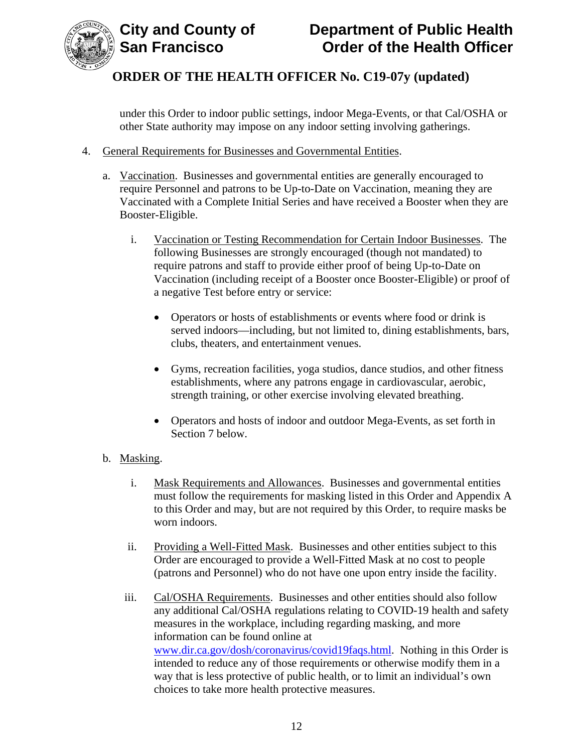

under this Order to indoor public settings, indoor Mega-Events, or that Cal/OSHA or other State authority may impose on any indoor setting involving gatherings.

- 4. General Requirements for Businesses and Governmental Entities.
	- a. Vaccination. Businesses and governmental entities are generally encouraged to require Personnel and patrons to be Up-to-Date on Vaccination, meaning they are Vaccinated with a Complete Initial Series and have received a Booster when they are Booster-Eligible.
		- i. Vaccination or Testing Recommendation for Certain Indoor Businesses. The following Businesses are strongly encouraged (though not mandated) to require patrons and staff to provide either proof of being Up-to-Date on Vaccination (including receipt of a Booster once Booster-Eligible) or proof of a negative Test before entry or service:
			- Operators or hosts of establishments or events where food or drink is served indoors—including, but not limited to, dining establishments, bars, clubs, theaters, and entertainment venues.
			- Gyms, recreation facilities, yoga studios, dance studios, and other fitness establishments, where any patrons engage in cardiovascular, aerobic, strength training, or other exercise involving elevated breathing.
			- Operators and hosts of indoor and outdoor Mega-Events, as set forth in Section 7 below.
	- b. Masking.
		- i. Mask Requirements and Allowances. Businesses and governmental entities must follow the requirements for masking listed in this Order and Appendix A to this Order and may, but are not required by this Order, to require masks be worn indoors.
		- ii. Providing a Well-Fitted Mask. Businesses and other entities subject to this Order are encouraged to provide a Well-Fitted Mask at no cost to people (patrons and Personnel) who do not have one upon entry inside the facility.
		- iii. Cal/OSHA Requirements. Businesses and other entities should also follow any additional Cal/OSHA regulations relating to COVID-19 health and safety measures in the workplace, including regarding masking, and more information can be found online at [www.dir.ca.gov/dosh/coronavirus/covid19faqs.html.](https://www.dir.ca.gov/dosh/coronavirus/covid19faqs.html) Nothing in this Order is intended to reduce any of those requirements or otherwise modify them in a way that is less protective of public health, or to limit an individual's own choices to take more health protective measures.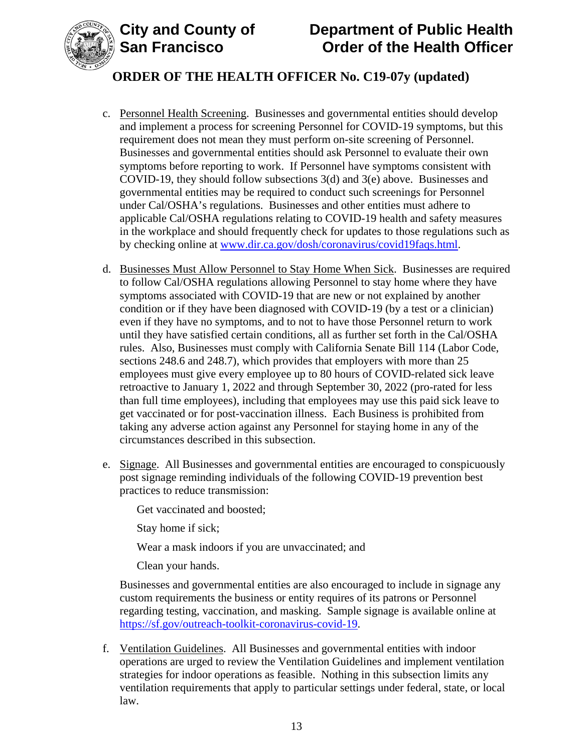



- c. Personnel Health Screening. Businesses and governmental entities should develop and implement a process for screening Personnel for COVID-19 symptoms, but this requirement does not mean they must perform on-site screening of Personnel. Businesses and governmental entities should ask Personnel to evaluate their own symptoms before reporting to work. If Personnel have symptoms consistent with COVID-19, they should follow subsections 3(d) and 3(e) above. Businesses and governmental entities may be required to conduct such screenings for Personnel under Cal/OSHA's regulations. Businesses and other entities must adhere to applicable Cal/OSHA regulations relating to COVID-19 health and safety measures in the workplace and should frequently check for updates to those regulations such as by checking online at [www.dir.ca.gov/dosh/coronavirus/covid19faqs.html.](https://www.dir.ca.gov/dosh/coronavirus/covid19faqs.html)
- d. Businesses Must Allow Personnel to Stay Home When Sick. Businesses are required to follow Cal/OSHA regulations allowing Personnel to stay home where they have symptoms associated with COVID-19 that are new or not explained by another condition or if they have been diagnosed with COVID-19 (by a test or a clinician) even if they have no symptoms, and to not to have those Personnel return to work until they have satisfied certain conditions, all as further set forth in the Cal/OSHA rules. Also, Businesses must comply with California Senate Bill 114 (Labor Code, sections 248.6 and 248.7), which provides that employers with more than 25 employees must give every employee up to 80 hours of COVID-related sick leave retroactive to January 1, 2022 and through September 30, 2022 (pro-rated for less than full time employees), including that employees may use this paid sick leave to get vaccinated or for post-vaccination illness. Each Business is prohibited from taking any adverse action against any Personnel for staying home in any of the circumstances described in this subsection.
- e. Signage. All Businesses and governmental entities are encouraged to conspicuously post signage reminding individuals of the following COVID-19 prevention best practices to reduce transmission:

Get vaccinated and boosted;

Stay home if sick;

Wear a mask indoors if you are unvaccinated; and

Clean your hands.

Businesses and governmental entities are also encouraged to include in signage any custom requirements the business or entity requires of its patrons or Personnel regarding testing, vaccination, and masking. Sample signage is available online at [https://sf.gov/outreach-toolkit-coronavirus-covid-19.](https://sf.gov/outreach-toolkit-coronavirus-covid-19)

f. Ventilation Guidelines. All Businesses and governmental entities with indoor operations are urged to review the Ventilation Guidelines and implement ventilation strategies for indoor operations as feasible. Nothing in this subsection limits any ventilation requirements that apply to particular settings under federal, state, or local law.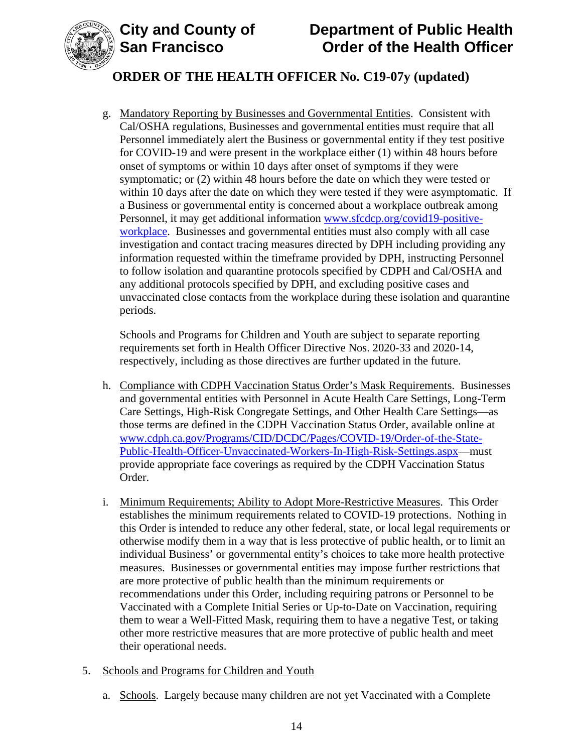

# **City and County of Department of Public Health Order of the Health Officer**

# **ORDER OF THE HEALTH OFFICER No. C19-07y (updated)**

g. Mandatory Reporting by Businesses and Governmental Entities. Consistent with Cal/OSHA regulations, Businesses and governmental entities must require that all Personnel immediately alert the Business or governmental entity if they test positive for COVID-19 and were present in the workplace either (1) within 48 hours before onset of symptoms or within 10 days after onset of symptoms if they were symptomatic; or (2) within 48 hours before the date on which they were tested or within 10 days after the date on which they were tested if they were asymptomatic. If a Business or governmental entity is concerned about a workplace outbreak among Personnel, it may get additional information [www.sfcdcp.org/covid19-positive](http://www.sfcdcp.org/covid19-positive-workplace)[workplace.](http://www.sfcdcp.org/covid19-positive-workplace) Businesses and governmental entities must also comply with all case investigation and contact tracing measures directed by DPH including providing any information requested within the timeframe provided by DPH, instructing Personnel to follow isolation and quarantine protocols specified by CDPH and Cal/OSHA and any additional protocols specified by DPH, and excluding positive cases and unvaccinated close contacts from the workplace during these isolation and quarantine periods.

Schools and Programs for Children and Youth are subject to separate reporting requirements set forth in Health Officer Directive Nos. 2020-33 and 2020-14, respectively, including as those directives are further updated in the future.

- h. Compliance with CDPH Vaccination Status Order's Mask Requirements. Businesses and governmental entities with Personnel in Acute Health Care Settings, Long-Term Care Settings, High-Risk Congregate Settings, and Other Health Care Settings—as those terms are defined in the CDPH Vaccination Status Order, available online at [www.cdph.ca.gov/Programs/CID/DCDC/Pages/COVID-19/Order-of-the-State-](https://www.cdph.ca.gov/Programs/CID/DCDC/Pages/COVID-19/Order-of-the-State-Public-Health-Officer-Unvaccinated-Workers-In-High-Risk-Settings.aspx)[Public-Health-Officer-Unvaccinated-Workers-In-High-Risk-Settings.aspx—](https://www.cdph.ca.gov/Programs/CID/DCDC/Pages/COVID-19/Order-of-the-State-Public-Health-Officer-Unvaccinated-Workers-In-High-Risk-Settings.aspx)must provide appropriate face coverings as required by the CDPH Vaccination Status Order.
- i. Minimum Requirements; Ability to Adopt More-Restrictive Measures. This Order establishes the minimum requirements related to COVID-19 protections. Nothing in this Order is intended to reduce any other federal, state, or local legal requirements or otherwise modify them in a way that is less protective of public health, or to limit an individual Business' or governmental entity's choices to take more health protective measures. Businesses or governmental entities may impose further restrictions that are more protective of public health than the minimum requirements or recommendations under this Order, including requiring patrons or Personnel to be Vaccinated with a Complete Initial Series or Up-to-Date on Vaccination, requiring them to wear a Well-Fitted Mask, requiring them to have a negative Test, or taking other more restrictive measures that are more protective of public health and meet their operational needs.
- 5. Schools and Programs for Children and Youth
	- a. Schools. Largely because many children are not yet Vaccinated with a Complete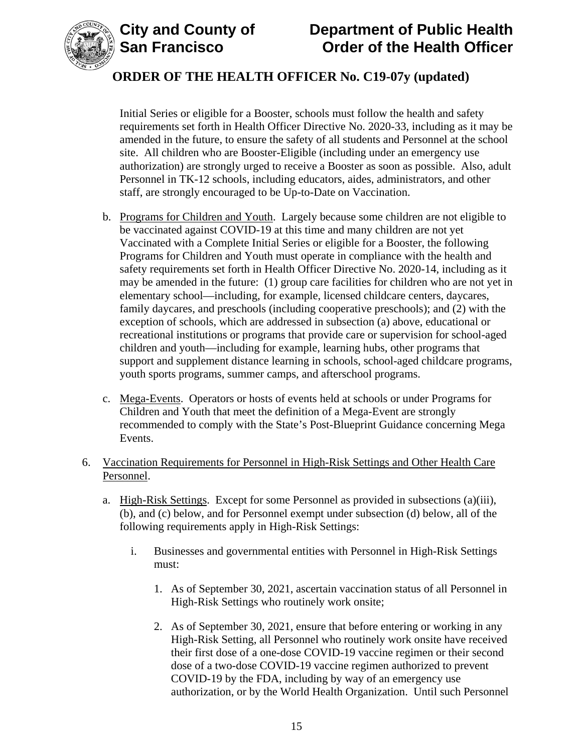

# **City and County of Department of Public Health Order of the Health Officer**

# **ORDER OF THE HEALTH OFFICER No. C19-07y (updated)**

Initial Series or eligible for a Booster, schools must follow the health and safety requirements set forth in Health Officer Directive No. 2020-33, including as it may be amended in the future, to ensure the safety of all students and Personnel at the school site. All children who are Booster-Eligible (including under an emergency use authorization) are strongly urged to receive a Booster as soon as possible. Also, adult Personnel in TK-12 schools, including educators, aides, administrators, and other staff, are strongly encouraged to be Up-to-Date on Vaccination.

- b. Programs for Children and Youth. Largely because some children are not eligible to be vaccinated against COVID-19 at this time and many children are not yet Vaccinated with a Complete Initial Series or eligible for a Booster, the following Programs for Children and Youth must operate in compliance with the health and safety requirements set forth in Health Officer Directive No. 2020-14, including as it may be amended in the future: (1) group care facilities for children who are not yet in elementary school—including, for example, licensed childcare centers, daycares, family daycares, and preschools (including cooperative preschools); and (2) with the exception of schools, which are addressed in subsection (a) above, educational or recreational institutions or programs that provide care or supervision for school-aged children and youth—including for example, learning hubs, other programs that support and supplement distance learning in schools, school-aged childcare programs, youth sports programs, summer camps, and afterschool programs.
- c. Mega-Events. Operators or hosts of events held at schools or under Programs for Children and Youth that meet the definition of a Mega-Event are strongly recommended to comply with the State's Post-Blueprint Guidance concerning Mega Events.
- 6. Vaccination Requirements for Personnel in High-Risk Settings and Other Health Care Personnel.
	- a. High-Risk Settings. Except for some Personnel as provided in subsections (a)(iii), (b), and (c) below, and for Personnel exempt under subsection (d) below, all of the following requirements apply in High-Risk Settings:
		- i. Businesses and governmental entities with Personnel in High-Risk Settings must:
			- 1. As of September 30, 2021, ascertain vaccination status of all Personnel in High-Risk Settings who routinely work onsite;
			- 2. As of September 30, 2021, ensure that before entering or working in any High-Risk Setting, all Personnel who routinely work onsite have received their first dose of a one-dose COVID-19 vaccine regimen or their second dose of a two-dose COVID-19 vaccine regimen authorized to prevent COVID-19 by the FDA, including by way of an emergency use authorization, or by the World Health Organization. Until such Personnel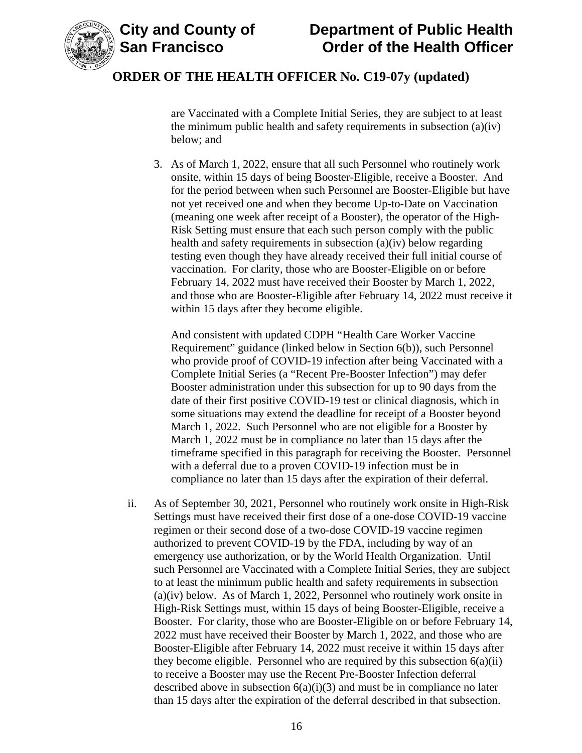



are Vaccinated with a Complete Initial Series, they are subject to at least the minimum public health and safety requirements in subsection (a)(iv) below; and

3. As of March 1, 2022, ensure that all such Personnel who routinely work onsite, within 15 days of being Booster-Eligible, receive a Booster. And for the period between when such Personnel are Booster-Eligible but have not yet received one and when they become Up-to-Date on Vaccination (meaning one week after receipt of a Booster), the operator of the High-Risk Setting must ensure that each such person comply with the public health and safety requirements in subsection (a)(iv) below regarding testing even though they have already received their full initial course of vaccination. For clarity, those who are Booster-Eligible on or before February 14, 2022 must have received their Booster by March 1, 2022, and those who are Booster-Eligible after February 14, 2022 must receive it within 15 days after they become eligible.

And consistent with updated CDPH "Health Care Worker Vaccine Requirement" guidance (linked below in Section 6(b)), such Personnel who provide proof of COVID-19 infection after being Vaccinated with a Complete Initial Series (a "Recent Pre-Booster Infection") may defer Booster administration under this subsection for up to 90 days from the date of their first positive COVID-19 test or clinical diagnosis, which in some situations may extend the deadline for receipt of a Booster beyond March 1, 2022. Such Personnel who are not eligible for a Booster by March 1, 2022 must be in compliance no later than 15 days after the timeframe specified in this paragraph for receiving the Booster. Personnel with a deferral due to a proven COVID-19 infection must be in compliance no later than 15 days after the expiration of their deferral.

ii. As of September 30, 2021, Personnel who routinely work onsite in High-Risk Settings must have received their first dose of a one-dose COVID-19 vaccine regimen or their second dose of a two-dose COVID-19 vaccine regimen authorized to prevent COVID-19 by the FDA, including by way of an emergency use authorization, or by the World Health Organization. Until such Personnel are Vaccinated with a Complete Initial Series, they are subject to at least the minimum public health and safety requirements in subsection (a)(iv) below. As of March 1, 2022, Personnel who routinely work onsite in High-Risk Settings must, within 15 days of being Booster-Eligible, receive a Booster. For clarity, those who are Booster-Eligible on or before February 14, 2022 must have received their Booster by March 1, 2022, and those who are Booster-Eligible after February 14, 2022 must receive it within 15 days after they become eligible. Personnel who are required by this subsection  $6(a)(ii)$ to receive a Booster may use the Recent Pre-Booster Infection deferral described above in subsection  $6(a)(i)(3)$  and must be in compliance no later than 15 days after the expiration of the deferral described in that subsection.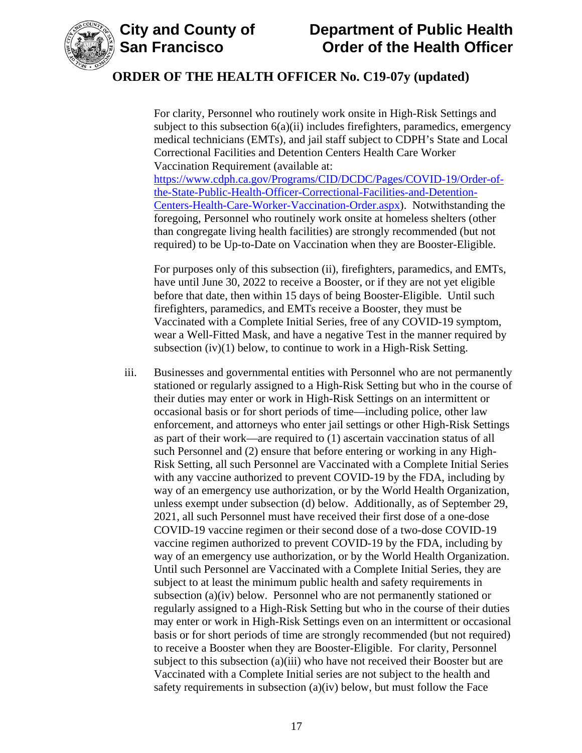

# **City and County of Department of Public Health Order of the Health Officer**

## **ORDER OF THE HEALTH OFFICER No. C19-07y (updated)**

For clarity, Personnel who routinely work onsite in High-Risk Settings and subject to this subsection  $6(a)(ii)$  includes firefighters, paramedics, emergency medical technicians (EMTs), and jail staff subject to CDPH's State and Local Correctional Facilities and Detention Centers Health Care Worker Vaccination Requirement (available at: [https://www.cdph.ca.gov/Programs/CID/DCDC/Pages/COVID-19/Order-of](https://www.cdph.ca.gov/Programs/CID/DCDC/Pages/COVID-19/Order-of-the-State-Public-Health-Officer-Correctional-Facilities-and-Detention-Centers-Health-Care-Worker-Vaccination-Order.aspx)[the-State-Public-Health-Officer-Correctional-Facilities-and-Detention-](https://www.cdph.ca.gov/Programs/CID/DCDC/Pages/COVID-19/Order-of-the-State-Public-Health-Officer-Correctional-Facilities-and-Detention-Centers-Health-Care-Worker-Vaccination-Order.aspx)[Centers-Health-Care-Worker-Vaccination-Order.aspx\)](https://www.cdph.ca.gov/Programs/CID/DCDC/Pages/COVID-19/Order-of-the-State-Public-Health-Officer-Correctional-Facilities-and-Detention-Centers-Health-Care-Worker-Vaccination-Order.aspx). Notwithstanding the foregoing, Personnel who routinely work onsite at homeless shelters (other than congregate living health facilities) are strongly recommended (but not required) to be Up-to-Date on Vaccination when they are Booster-Eligible.

For purposes only of this subsection (ii), firefighters, paramedics, and EMTs, have until June 30, 2022 to receive a Booster, or if they are not yet eligible before that date, then within 15 days of being Booster-Eligible. Until such firefighters, paramedics, and EMTs receive a Booster, they must be Vaccinated with a Complete Initial Series, free of any COVID-19 symptom, wear a Well-Fitted Mask, and have a negative Test in the manner required by subsection (iv)(1) below, to continue to work in a High-Risk Setting.

iii. Businesses and governmental entities with Personnel who are not permanently stationed or regularly assigned to a High-Risk Setting but who in the course of their duties may enter or work in High-Risk Settings on an intermittent or occasional basis or for short periods of time—including police, other law enforcement, and attorneys who enter jail settings or other High-Risk Settings as part of their work—are required to (1) ascertain vaccination status of all such Personnel and (2) ensure that before entering or working in any High-Risk Setting, all such Personnel are Vaccinated with a Complete Initial Series with any vaccine authorized to prevent COVID-19 by the FDA, including by way of an emergency use authorization, or by the World Health Organization, unless exempt under subsection (d) below. Additionally, as of September 29, 2021, all such Personnel must have received their first dose of a one-dose COVID-19 vaccine regimen or their second dose of a two-dose COVID-19 vaccine regimen authorized to prevent COVID-19 by the FDA, including by way of an emergency use authorization, or by the World Health Organization. Until such Personnel are Vaccinated with a Complete Initial Series, they are subject to at least the minimum public health and safety requirements in subsection (a)(iv) below. Personnel who are not permanently stationed or regularly assigned to a High-Risk Setting but who in the course of their duties may enter or work in High-Risk Settings even on an intermittent or occasional basis or for short periods of time are strongly recommended (but not required) to receive a Booster when they are Booster-Eligible. For clarity, Personnel subject to this subsection (a)(iii) who have not received their Booster but are Vaccinated with a Complete Initial series are not subject to the health and safety requirements in subsection (a)(iv) below, but must follow the Face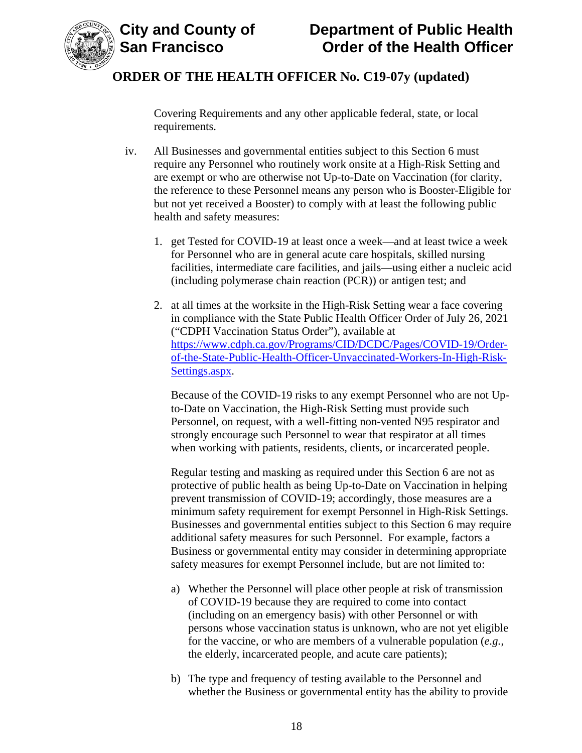

Covering Requirements and any other applicable federal, state, or local requirements.

- iv. All Businesses and governmental entities subject to this Section 6 must require any Personnel who routinely work onsite at a High-Risk Setting and are exempt or who are otherwise not Up-to-Date on Vaccination (for clarity, the reference to these Personnel means any person who is Booster-Eligible for but not yet received a Booster) to comply with at least the following public health and safety measures:
	- 1. get Tested for COVID-19 at least once a week—and at least twice a week for Personnel who are in general acute care hospitals, skilled nursing facilities, intermediate care facilities, and jails—using either a nucleic acid (including polymerase chain reaction (PCR)) or antigen test; and
	- 2. at all times at the worksite in the High-Risk Setting wear a face covering in compliance with the State Public Health Officer Order of July 26, 2021 ("CDPH Vaccination Status Order"), available at [https://www.cdph.ca.gov/Programs/CID/DCDC/Pages/COVID-19/Order](https://www.cdph.ca.gov/Programs/CID/DCDC/Pages/COVID-19/Order-of-the-State-Public-Health-Officer-Unvaccinated-Workers-In-High-Risk-Settings.aspx)[of-the-State-Public-Health-Officer-Unvaccinated-Workers-In-High-Risk-](https://www.cdph.ca.gov/Programs/CID/DCDC/Pages/COVID-19/Order-of-the-State-Public-Health-Officer-Unvaccinated-Workers-In-High-Risk-Settings.aspx)[Settings.aspx.](https://www.cdph.ca.gov/Programs/CID/DCDC/Pages/COVID-19/Order-of-the-State-Public-Health-Officer-Unvaccinated-Workers-In-High-Risk-Settings.aspx)

Because of the COVID-19 risks to any exempt Personnel who are not Upto-Date on Vaccination, the High-Risk Setting must provide such Personnel, on request, with a well-fitting non-vented N95 respirator and strongly encourage such Personnel to wear that respirator at all times when working with patients, residents, clients, or incarcerated people.

Regular testing and masking as required under this Section 6 are not as protective of public health as being Up-to-Date on Vaccination in helping prevent transmission of COVID-19; accordingly, those measures are a minimum safety requirement for exempt Personnel in High-Risk Settings. Businesses and governmental entities subject to this Section 6 may require additional safety measures for such Personnel. For example, factors a Business or governmental entity may consider in determining appropriate safety measures for exempt Personnel include, but are not limited to:

- a) Whether the Personnel will place other people at risk of transmission of COVID-19 because they are required to come into contact (including on an emergency basis) with other Personnel or with persons whose vaccination status is unknown, who are not yet eligible for the vaccine, or who are members of a vulnerable population (*e.g.*, the elderly, incarcerated people, and acute care patients);
- b) The type and frequency of testing available to the Personnel and whether the Business or governmental entity has the ability to provide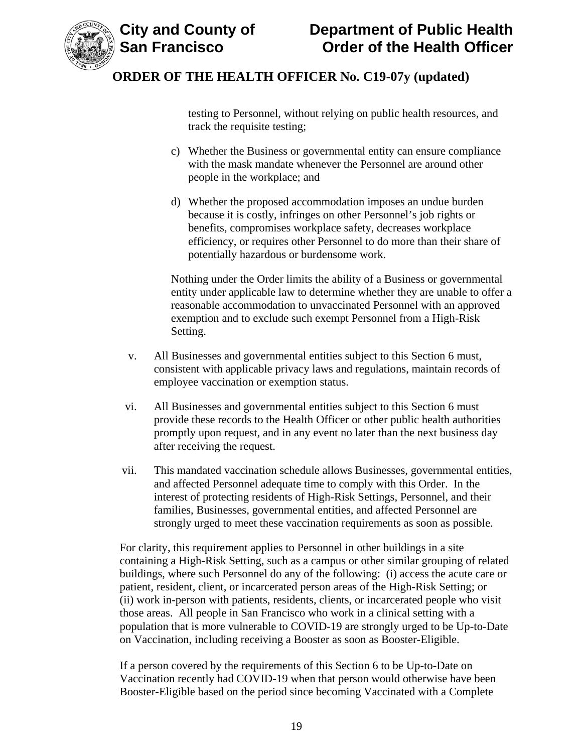

testing to Personnel, without relying on public health resources, and track the requisite testing;

- c) Whether the Business or governmental entity can ensure compliance with the mask mandate whenever the Personnel are around other people in the workplace; and
- d) Whether the proposed accommodation imposes an undue burden because it is costly, infringes on other Personnel's job rights or benefits, compromises workplace safety, decreases workplace efficiency, or requires other Personnel to do more than their share of potentially hazardous or burdensome work.

Nothing under the Order limits the ability of a Business or governmental entity under applicable law to determine whether they are unable to offer a reasonable accommodation to unvaccinated Personnel with an approved exemption and to exclude such exempt Personnel from a High-Risk Setting.

- v. All Businesses and governmental entities subject to this Section 6 must, consistent with applicable privacy laws and regulations, maintain records of employee vaccination or exemption status.
- vi. All Businesses and governmental entities subject to this Section 6 must provide these records to the Health Officer or other public health authorities promptly upon request, and in any event no later than the next business day after receiving the request.
- vii. This mandated vaccination schedule allows Businesses, governmental entities, and affected Personnel adequate time to comply with this Order. In the interest of protecting residents of High-Risk Settings, Personnel, and their families, Businesses, governmental entities, and affected Personnel are strongly urged to meet these vaccination requirements as soon as possible.

For clarity, this requirement applies to Personnel in other buildings in a site containing a High-Risk Setting, such as a campus or other similar grouping of related buildings, where such Personnel do any of the following: (i) access the acute care or patient, resident, client, or incarcerated person areas of the High-Risk Setting; or (ii) work in-person with patients, residents, clients, or incarcerated people who visit those areas. All people in San Francisco who work in a clinical setting with a population that is more vulnerable to COVID-19 are strongly urged to be Up-to-Date on Vaccination, including receiving a Booster as soon as Booster-Eligible.

If a person covered by the requirements of this Section 6 to be Up-to-Date on Vaccination recently had COVID-19 when that person would otherwise have been Booster-Eligible based on the period since becoming Vaccinated with a Complete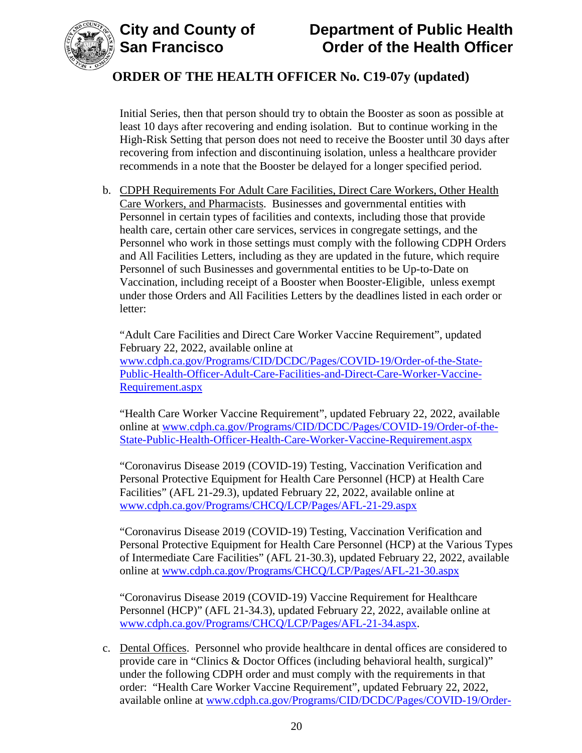



Initial Series, then that person should try to obtain the Booster as soon as possible at least 10 days after recovering and ending isolation. But to continue working in the High-Risk Setting that person does not need to receive the Booster until 30 days after recovering from infection and discontinuing isolation, unless a healthcare provider recommends in a note that the Booster be delayed for a longer specified period.

b. CDPH Requirements For Adult Care Facilities, Direct Care Workers, Other Health Care Workers, and Pharmacists. Businesses and governmental entities with Personnel in certain types of facilities and contexts, including those that provide health care, certain other care services, services in congregate settings, and the Personnel who work in those settings must comply with the following CDPH Orders and All Facilities Letters, including as they are updated in the future, which require Personnel of such Businesses and governmental entities to be Up-to-Date on Vaccination, including receipt of a Booster when Booster-Eligible, unless exempt under those Orders and All Facilities Letters by the deadlines listed in each order or letter:

"Adult Care Facilities and Direct Care Worker Vaccine Requirement", updated February 22, 2022, available online at [www.cdph.ca.gov/Programs/CID/DCDC/Pages/COVID-19/Order-of-the-State-](https://www.cdph.ca.gov/Programs/CID/DCDC/Pages/COVID-19/Order-of-the-State-Public-Health-Officer-Adult-Care-Facilities-and-Direct-Care-Worker-Vaccine-Requirement.aspx)[Public-Health-Officer-Adult-Care-Facilities-and-Direct-Care-Worker-Vaccine-](https://www.cdph.ca.gov/Programs/CID/DCDC/Pages/COVID-19/Order-of-the-State-Public-Health-Officer-Adult-Care-Facilities-and-Direct-Care-Worker-Vaccine-Requirement.aspx)[Requirement.aspx](https://www.cdph.ca.gov/Programs/CID/DCDC/Pages/COVID-19/Order-of-the-State-Public-Health-Officer-Adult-Care-Facilities-and-Direct-Care-Worker-Vaccine-Requirement.aspx)

"Health Care Worker Vaccine Requirement", updated February 22, 2022, available online at [www.cdph.ca.gov/Programs/CID/DCDC/Pages/COVID-19/Order-of-the-](https://www.cdph.ca.gov/Programs/CID/DCDC/Pages/COVID-19/Order-of-the-State-Public-Health-Officer-Health-Care-Worker-Vaccine-Requirement.aspx)[State-Public-Health-Officer-Health-Care-Worker-Vaccine-Requirement.aspx](https://www.cdph.ca.gov/Programs/CID/DCDC/Pages/COVID-19/Order-of-the-State-Public-Health-Officer-Health-Care-Worker-Vaccine-Requirement.aspx)

"Coronavirus Disease 2019 (COVID-19) Testing, Vaccination Verification and Personal Protective Equipment for Health Care Personnel (HCP) at Health Care Facilities" (AFL 21-29.3), updated February 22, 2022, available online at [www.cdph.ca.gov/Programs/CHCQ/LCP/Pages/AFL-21-29.aspx](https://www.cdph.ca.gov/Programs/CHCQ/LCP/Pages/AFL-21-29.aspx)

"Coronavirus Disease 2019 (COVID-19) Testing, Vaccination Verification and Personal Protective Equipment for Health Care Personnel (HCP) at the Various Types of Intermediate Care Facilities" (AFL 21-30.3), updated February 22, 2022, available online at [www.cdph.ca.gov/Programs/CHCQ/LCP/Pages/AFL-21-30.aspx](https://www.cdph.ca.gov/Programs/CHCQ/LCP/Pages/AFL-21-30.aspx)

"Coronavirus Disease 2019 (COVID-19) Vaccine Requirement for Healthcare Personnel (HCP)" (AFL 21-34.3), updated February 22, 2022, available online at [www.cdph.ca.gov/Programs/CHCQ/LCP/Pages/AFL-21-34.aspx.](https://www.cdph.ca.gov/Programs/CHCQ/LCP/Pages/AFL-21-34.aspx)

c. Dental Offices. Personnel who provide healthcare in dental offices are considered to provide care in "Clinics & Doctor Offices (including behavioral health, surgical)" under the following CDPH order and must comply with the requirements in that order: "Health Care Worker Vaccine Requirement", updated February 22, 2022, available online at [www.cdph.ca.gov/Programs/CID/DCDC/Pages/COVID-19/Order-](https://www.cdph.ca.gov/Programs/CID/DCDC/Pages/COVID-19/Order-of-the-State-Public-Health-Officer-Health-Care-Worker-Vaccine-Requirement.aspx)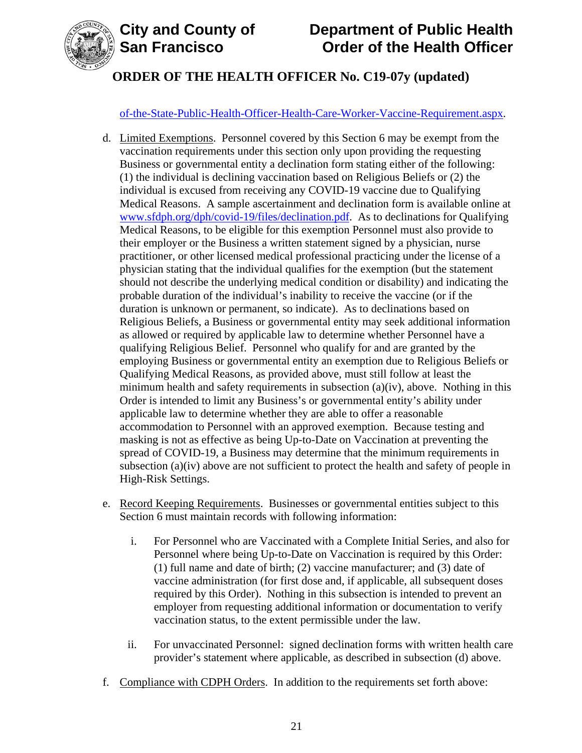

### [of-the-State-Public-Health-Officer-Health-Care-Worker-Vaccine-Requirement.aspx.](https://www.cdph.ca.gov/Programs/CID/DCDC/Pages/COVID-19/Order-of-the-State-Public-Health-Officer-Health-Care-Worker-Vaccine-Requirement.aspx)

- d. Limited Exemptions. Personnel covered by this Section 6 may be exempt from the vaccination requirements under this section only upon providing the requesting Business or governmental entity a declination form stating either of the following: (1) the individual is declining vaccination based on Religious Beliefs or (2) the individual is excused from receiving any COVID-19 vaccine due to Qualifying Medical Reasons. A sample ascertainment and declination form is available online at [www.sfdph.org/dph/covid-19/files/declination.pdf.](https://www.sfdph.org/dph/covid-19/files/declination.pdf) As to declinations for Qualifying Medical Reasons, to be eligible for this exemption Personnel must also provide to their employer or the Business a written statement signed by a physician, nurse practitioner, or other licensed medical professional practicing under the license of a physician stating that the individual qualifies for the exemption (but the statement should not describe the underlying medical condition or disability) and indicating the probable duration of the individual's inability to receive the vaccine (or if the duration is unknown or permanent, so indicate). As to declinations based on Religious Beliefs, a Business or governmental entity may seek additional information as allowed or required by applicable law to determine whether Personnel have a qualifying Religious Belief. Personnel who qualify for and are granted by the employing Business or governmental entity an exemption due to Religious Beliefs or Qualifying Medical Reasons, as provided above, must still follow at least the minimum health and safety requirements in subsection (a)(iv), above. Nothing in this Order is intended to limit any Business's or governmental entity's ability under applicable law to determine whether they are able to offer a reasonable accommodation to Personnel with an approved exemption. Because testing and masking is not as effective as being Up-to-Date on Vaccination at preventing the spread of COVID-19, a Business may determine that the minimum requirements in subsection (a)(iv) above are not sufficient to protect the health and safety of people in High-Risk Settings.
- e. Record Keeping Requirements. Businesses or governmental entities subject to this Section 6 must maintain records with following information:
	- i. For Personnel who are Vaccinated with a Complete Initial Series, and also for Personnel where being Up-to-Date on Vaccination is required by this Order: (1) full name and date of birth; (2) vaccine manufacturer; and (3) date of vaccine administration (for first dose and, if applicable, all subsequent doses required by this Order). Nothing in this subsection is intended to prevent an employer from requesting additional information or documentation to verify vaccination status, to the extent permissible under the law.
	- ii. For unvaccinated Personnel: signed declination forms with written health care provider's statement where applicable, as described in subsection (d) above.
- f. Compliance with CDPH Orders. In addition to the requirements set forth above: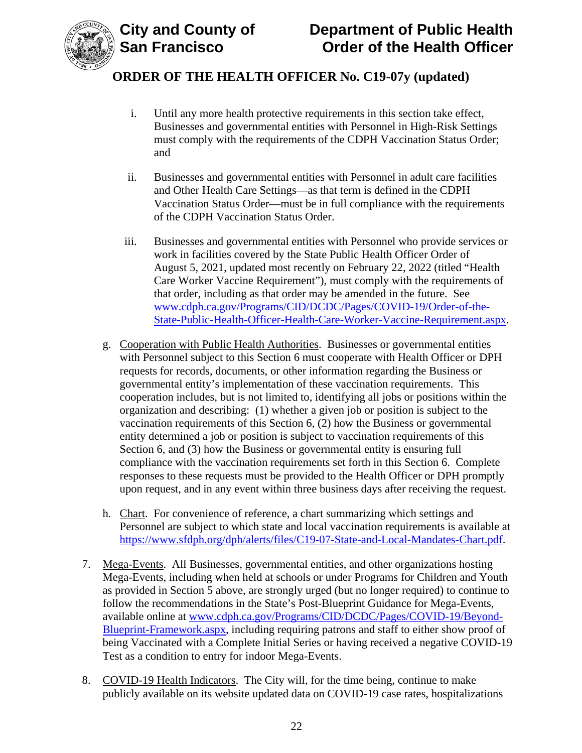

- i. Until any more health protective requirements in this section take effect, Businesses and governmental entities with Personnel in High-Risk Settings must comply with the requirements of the CDPH Vaccination Status Order; and
- ii. Businesses and governmental entities with Personnel in adult care facilities and Other Health Care Settings—as that term is defined in the CDPH Vaccination Status Order—must be in full compliance with the requirements of the CDPH Vaccination Status Order.
- iii. Businesses and governmental entities with Personnel who provide services or work in facilities covered by the State Public Health Officer Order of August 5, 2021, updated most recently on February 22, 2022 (titled "Health Care Worker Vaccine Requirement"), must comply with the requirements of that order, including as that order may be amended in the future. See [www.cdph.ca.gov/Programs/CID/DCDC/Pages/COVID-19/Order-of-the-](https://www.cdph.ca.gov/Programs/CID/DCDC/Pages/COVID-19/Order-of-the-State-Public-Health-Officer-Health-Care-Worker-Vaccine-Requirement.aspx)[State-Public-Health-Officer-Health-Care-Worker-Vaccine-Requirement.aspx.](https://www.cdph.ca.gov/Programs/CID/DCDC/Pages/COVID-19/Order-of-the-State-Public-Health-Officer-Health-Care-Worker-Vaccine-Requirement.aspx)
- g. Cooperation with Public Health Authorities. Businesses or governmental entities with Personnel subject to this Section 6 must cooperate with Health Officer or DPH requests for records, documents, or other information regarding the Business or governmental entity's implementation of these vaccination requirements. This cooperation includes, but is not limited to, identifying all jobs or positions within the organization and describing: (1) whether a given job or position is subject to the vaccination requirements of this Section 6, (2) how the Business or governmental entity determined a job or position is subject to vaccination requirements of this Section 6, and (3) how the Business or governmental entity is ensuring full compliance with the vaccination requirements set forth in this Section 6. Complete responses to these requests must be provided to the Health Officer or DPH promptly upon request, and in any event within three business days after receiving the request.
- h. Chart. For convenience of reference, a chart summarizing which settings and Personnel are subject to which state and local vaccination requirements is available at [https://www.sfdph.org/dph/alerts/files/C19-07-State-and-Local-Mandates-Chart.pdf.](https://www.sfdph.org/dph/alerts/files/C19-07-State-and-Local-Mandates-Chart.pdf)
- 7. Mega-Events. All Businesses, governmental entities, and other organizations hosting Mega-Events, including when held at schools or under Programs for Children and Youth as provided in Section 5 above, are strongly urged (but no longer required) to continue to follow the recommendations in the State's Post-Blueprint Guidance for Mega-Events, available online at [www.cdph.ca.gov/Programs/CID/DCDC/Pages/COVID-19/Beyond-](https://www.cdph.ca.gov/Programs/CID/DCDC/Pages/COVID-19/Beyond-Blueprint-Framework.aspx)[Blueprint-Framework.aspx,](https://www.cdph.ca.gov/Programs/CID/DCDC/Pages/COVID-19/Beyond-Blueprint-Framework.aspx) including requiring patrons and staff to either show proof of being Vaccinated with a Complete Initial Series or having received a negative COVID-19 Test as a condition to entry for indoor Mega-Events.
- 8. COVID-19 Health Indicators. The City will, for the time being, continue to make publicly available on its website updated data on COVID-19 case rates, hospitalizations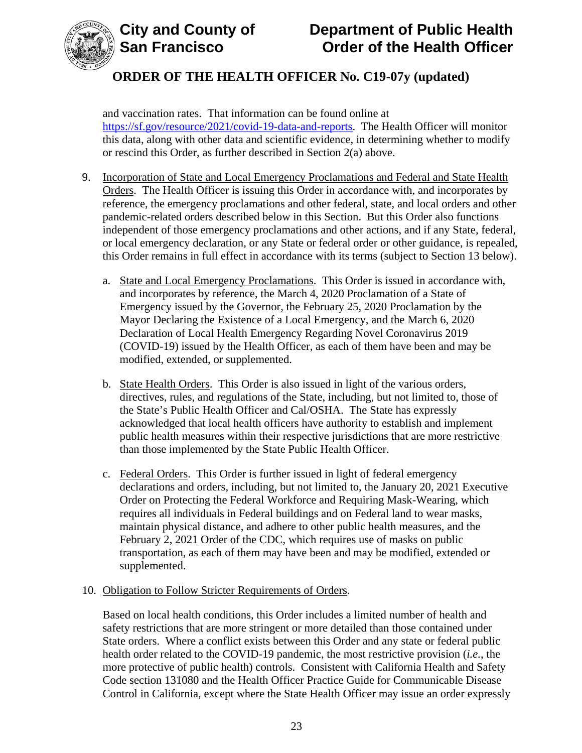



and vaccination rates. That information can be found online at [https://sf.gov/resource/2021/covid-19-data-and-reports.](https://sf.gov/resource/2021/covid-19-data-and-reports) The Health Officer will monitor this data, along with other data and scientific evidence, in determining whether to modify or rescind this Order, as further described in Section 2(a) above.

- 9. Incorporation of State and Local Emergency Proclamations and Federal and State Health Orders. The Health Officer is issuing this Order in accordance with, and incorporates by reference, the emergency proclamations and other federal, state, and local orders and other pandemic-related orders described below in this Section. But this Order also functions independent of those emergency proclamations and other actions, and if any State, federal, or local emergency declaration, or any State or federal order or other guidance, is repealed, this Order remains in full effect in accordance with its terms (subject to Section 13 below).
	- a. State and Local Emergency Proclamations. This Order is issued in accordance with, and incorporates by reference, the March 4, 2020 Proclamation of a State of Emergency issued by the Governor, the February 25, 2020 Proclamation by the Mayor Declaring the Existence of a Local Emergency, and the March 6, 2020 Declaration of Local Health Emergency Regarding Novel Coronavirus 2019 (COVID-19) issued by the Health Officer, as each of them have been and may be modified, extended, or supplemented.
	- b. State Health Orders. This Order is also issued in light of the various orders, directives, rules, and regulations of the State, including, but not limited to, those of the State's Public Health Officer and Cal/OSHA. The State has expressly acknowledged that local health officers have authority to establish and implement public health measures within their respective jurisdictions that are more restrictive than those implemented by the State Public Health Officer.
	- c. Federal Orders. This Order is further issued in light of federal emergency declarations and orders, including, but not limited to, the January 20, 2021 Executive Order on Protecting the Federal Workforce and Requiring Mask-Wearing, which requires all individuals in Federal buildings and on Federal land to wear masks, maintain physical distance, and adhere to other public health measures, and the February 2, 2021 Order of the CDC, which requires use of masks on public transportation, as each of them may have been and may be modified, extended or supplemented.

#### 10. Obligation to Follow Stricter Requirements of Orders.

Based on local health conditions, this Order includes a limited number of health and safety restrictions that are more stringent or more detailed than those contained under State orders. Where a conflict exists between this Order and any state or federal public health order related to the COVID-19 pandemic, the most restrictive provision (*i.e.*, the more protective of public health) controls. Consistent with California Health and Safety Code section 131080 and the Health Officer Practice Guide for Communicable Disease Control in California, except where the State Health Officer may issue an order expressly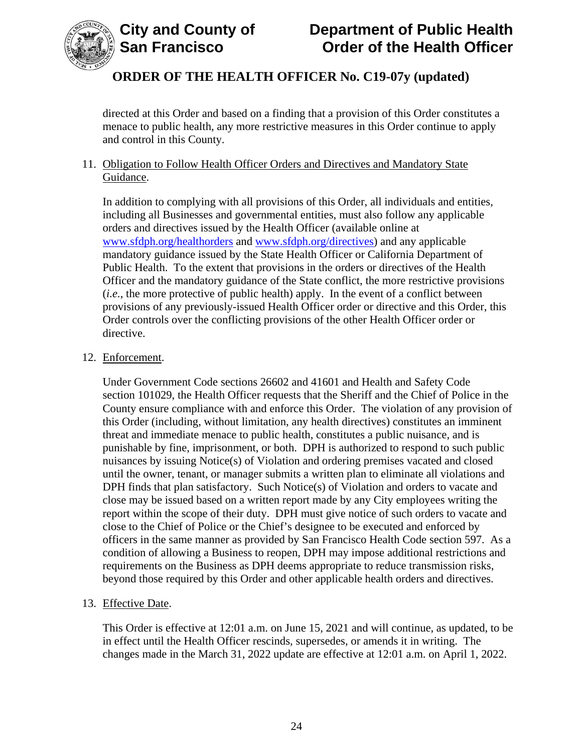

directed at this Order and based on a finding that a provision of this Order constitutes a menace to public health, any more restrictive measures in this Order continue to apply and control in this County.

#### 11. Obligation to Follow Health Officer Orders and Directives and Mandatory State Guidance.

In addition to complying with all provisions of this Order, all individuals and entities, including all Businesses and governmental entities, must also follow any applicable orders and directives issued by the Health Officer (available online at [www.sfdph.org/healthorders](http://www.sfdph.org/healthorders) and [www.sfdph.org/directives\)](https://www.sfdph.org/directives) and any applicable mandatory guidance issued by the State Health Officer or California Department of Public Health. To the extent that provisions in the orders or directives of the Health Officer and the mandatory guidance of the State conflict, the more restrictive provisions (*i.e.*, the more protective of public health) apply. In the event of a conflict between provisions of any previously-issued Health Officer order or directive and this Order, this Order controls over the conflicting provisions of the other Health Officer order or directive.

#### 12. Enforcement.

Under Government Code sections 26602 and 41601 and Health and Safety Code section 101029, the Health Officer requests that the Sheriff and the Chief of Police in the County ensure compliance with and enforce this Order. The violation of any provision of this Order (including, without limitation, any health directives) constitutes an imminent threat and immediate menace to public health, constitutes a public nuisance, and is punishable by fine, imprisonment, or both. DPH is authorized to respond to such public nuisances by issuing Notice(s) of Violation and ordering premises vacated and closed until the owner, tenant, or manager submits a written plan to eliminate all violations and DPH finds that plan satisfactory. Such Notice(s) of Violation and orders to vacate and close may be issued based on a written report made by any City employees writing the report within the scope of their duty. DPH must give notice of such orders to vacate and close to the Chief of Police or the Chief's designee to be executed and enforced by officers in the same manner as provided by San Francisco Health Code section 597. As a condition of allowing a Business to reopen, DPH may impose additional restrictions and requirements on the Business as DPH deems appropriate to reduce transmission risks, beyond those required by this Order and other applicable health orders and directives.

#### 13. Effective Date.

This Order is effective at 12:01 a.m. on June 15, 2021 and will continue, as updated, to be in effect until the Health Officer rescinds, supersedes, or amends it in writing. The changes made in the March 31, 2022 update are effective at 12:01 a.m. on April 1, 2022.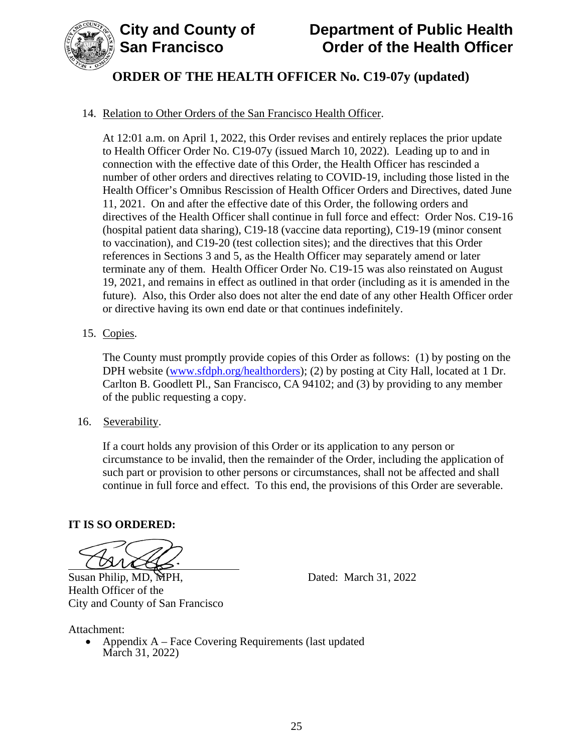

# **City and County of Department of Public Health Order of the Health Officer**

# **ORDER OF THE HEALTH OFFICER No. C19-07y (updated)**

### 14. Relation to Other Orders of the San Francisco Health Officer.

At 12:01 a.m. on April 1, 2022, this Order revises and entirely replaces the prior update to Health Officer Order No. C19-07y (issued March 10, 2022). Leading up to and in connection with the effective date of this Order, the Health Officer has rescinded a number of other orders and directives relating to COVID-19, including those listed in the Health Officer's Omnibus Rescission of Health Officer Orders and Directives, dated June 11, 2021. On and after the effective date of this Order, the following orders and directives of the Health Officer shall continue in full force and effect: Order Nos. C19-16 (hospital patient data sharing), C19-18 (vaccine data reporting), C19-19 (minor consent to vaccination), and C19-20 (test collection sites); and the directives that this Order references in Sections 3 and 5, as the Health Officer may separately amend or later terminate any of them. Health Officer Order No. C19-15 was also reinstated on August 19, 2021, and remains in effect as outlined in that order (including as it is amended in the future). Also, this Order also does not alter the end date of any other Health Officer order or directive having its own end date or that continues indefinitely.

#### 15. Copies.

The County must promptly provide copies of this Order as follows: (1) by posting on the DPH website (www.sfdph.org/healthorders); (2) by posting at City Hall, located at 1 Dr. Carlton B. Goodlett Pl., San Francisco, CA 94102; and (3) by providing to any member of the public requesting a copy.

16. Severability.

If a court holds any provision of this Order or its application to any person or circumstance to be invalid, then the remainder of the Order, including the application of such part or provision to other persons or circumstances, shall not be affected and shall continue in full force and effect. To this end, the provisions of this Order are severable.

#### **IT IS SO ORDERED:**

City and County of San Francisco

Susan Philip, MD, MPH, Dated: March 31, 2022 Health Officer of the

Attachment:

• Appendix A – Face Covering Requirements (last updated March 31, 2022)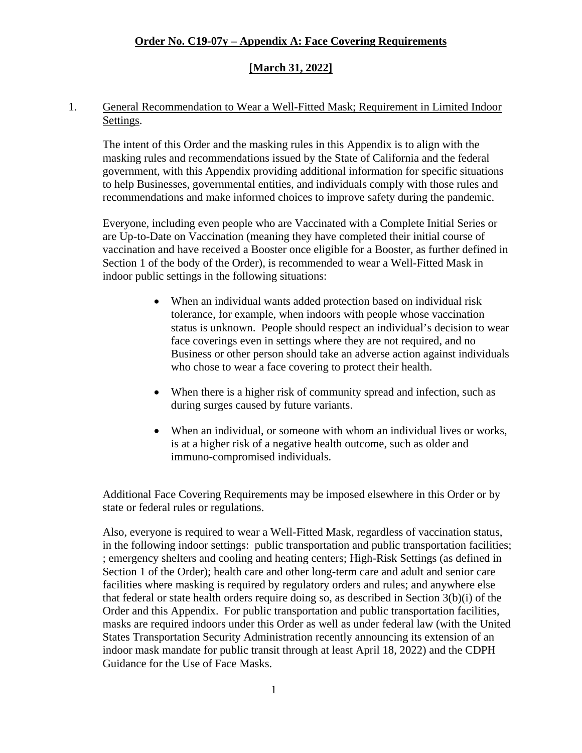#### **[March 31, 2022]**

#### 1. General Recommendation to Wear a Well-Fitted Mask; Requirement in Limited Indoor Settings.

The intent of this Order and the masking rules in this Appendix is to align with the masking rules and recommendations issued by the State of California and the federal government, with this Appendix providing additional information for specific situations to help Businesses, governmental entities, and individuals comply with those rules and recommendations and make informed choices to improve safety during the pandemic.

Everyone, including even people who are Vaccinated with a Complete Initial Series or are Up-to-Date on Vaccination (meaning they have completed their initial course of vaccination and have received a Booster once eligible for a Booster, as further defined in Section 1 of the body of the Order), is recommended to wear a Well-Fitted Mask in indoor public settings in the following situations:

- When an individual wants added protection based on individual risk tolerance, for example, when indoors with people whose vaccination status is unknown. People should respect an individual's decision to wear face coverings even in settings where they are not required, and no Business or other person should take an adverse action against individuals who chose to wear a face covering to protect their health.
- When there is a higher risk of community spread and infection, such as during surges caused by future variants.
- When an individual, or someone with whom an individual lives or works, is at a higher risk of a negative health outcome, such as older and immuno-compromised individuals.

Additional Face Covering Requirements may be imposed elsewhere in this Order or by state or federal rules or regulations.

Also, everyone is required to wear a Well-Fitted Mask, regardless of vaccination status, in the following indoor settings: public transportation and public transportation facilities; ; emergency shelters and cooling and heating centers; High-Risk Settings (as defined in Section 1 of the Order); health care and other long-term care and adult and senior care facilities where masking is required by regulatory orders and rules; and anywhere else that federal or state health orders require doing so, as described in Section 3(b)(i) of the Order and this Appendix. For public transportation and public transportation facilities, masks are required indoors under this Order as well as under federal law (with the United States Transportation Security Administration recently announcing its extension of an indoor mask mandate for public transit through at least April 18, 2022) and the CDPH Guidance for the Use of Face Masks.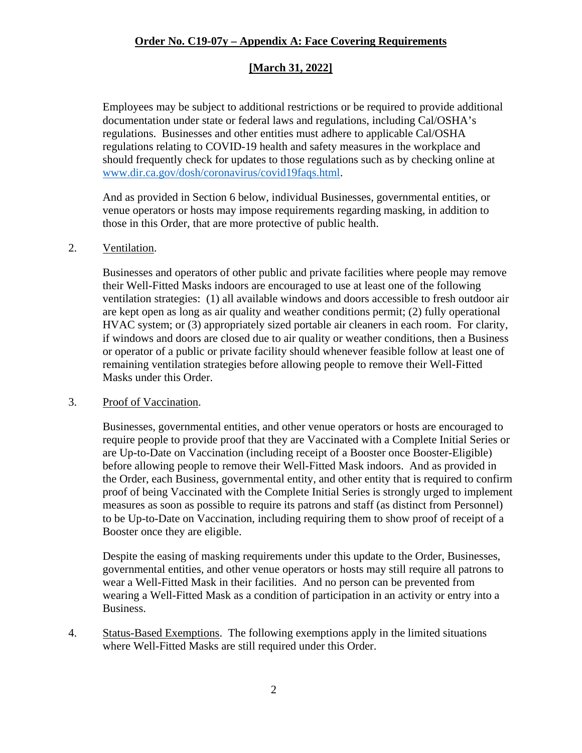### **[March 31, 2022]**

Employees may be subject to additional restrictions or be required to provide additional documentation under state or federal laws and regulations, including Cal/OSHA's regulations. Businesses and other entities must adhere to applicable Cal/OSHA regulations relating to COVID-19 health and safety measures in the workplace and should frequently check for updates to those regulations such as by checking online at [www.dir.ca.gov/dosh/coronavirus/covid19faqs.html.](https://www.dir.ca.gov/dosh/coronavirus/covid19faqs.html)

And as provided in Section 6 below, individual Businesses, governmental entities, or venue operators or hosts may impose requirements regarding masking, in addition to those in this Order, that are more protective of public health.

#### 2. Ventilation.

Businesses and operators of other public and private facilities where people may remove their Well-Fitted Masks indoors are encouraged to use at least one of the following ventilation strategies: (1) all available windows and doors accessible to fresh outdoor air are kept open as long as air quality and weather conditions permit; (2) fully operational HVAC system; or (3) appropriately sized portable air cleaners in each room. For clarity, if windows and doors are closed due to air quality or weather conditions, then a Business or operator of a public or private facility should whenever feasible follow at least one of remaining ventilation strategies before allowing people to remove their Well-Fitted Masks under this Order.

#### 3. Proof of Vaccination.

Businesses, governmental entities, and other venue operators or hosts are encouraged to require people to provide proof that they are Vaccinated with a Complete Initial Series or are Up-to-Date on Vaccination (including receipt of a Booster once Booster-Eligible) before allowing people to remove their Well-Fitted Mask indoors. And as provided in the Order, each Business, governmental entity, and other entity that is required to confirm proof of being Vaccinated with the Complete Initial Series is strongly urged to implement measures as soon as possible to require its patrons and staff (as distinct from Personnel) to be Up-to-Date on Vaccination, including requiring them to show proof of receipt of a Booster once they are eligible.

Despite the easing of masking requirements under this update to the Order, Businesses, governmental entities, and other venue operators or hosts may still require all patrons to wear a Well-Fitted Mask in their facilities. And no person can be prevented from wearing a Well-Fitted Mask as a condition of participation in an activity or entry into a Business.

4. Status-Based Exemptions. The following exemptions apply in the limited situations where Well-Fitted Masks are still required under this Order.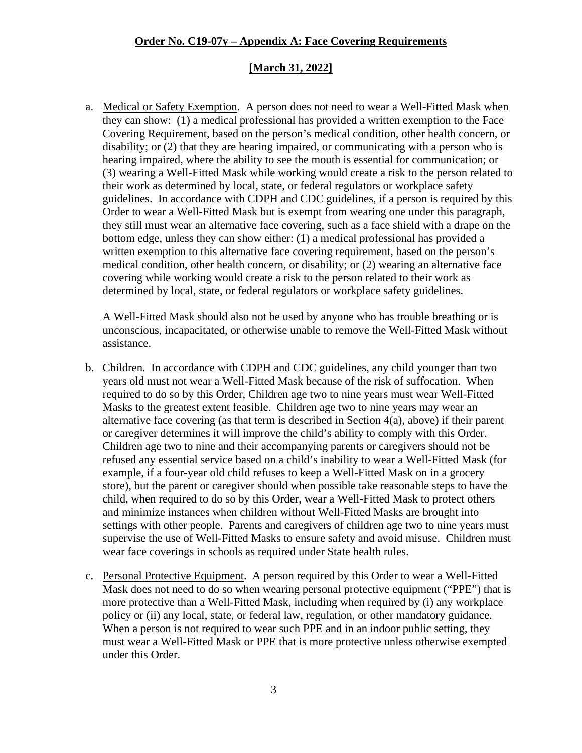#### **[March 31, 2022]**

a. Medical or Safety Exemption. A person does not need to wear a Well-Fitted Mask when they can show: (1) a medical professional has provided a written exemption to the Face Covering Requirement, based on the person's medical condition, other health concern, or disability; or (2) that they are hearing impaired, or communicating with a person who is hearing impaired, where the ability to see the mouth is essential for communication; or (3) wearing a Well-Fitted Mask while working would create a risk to the person related to their work as determined by local, state, or federal regulators or workplace safety guidelines. In accordance with CDPH and CDC guidelines, if a person is required by this Order to wear a Well-Fitted Mask but is exempt from wearing one under this paragraph, they still must wear an alternative face covering, such as a face shield with a drape on the bottom edge, unless they can show either: (1) a medical professional has provided a written exemption to this alternative face covering requirement, based on the person's medical condition, other health concern, or disability; or (2) wearing an alternative face covering while working would create a risk to the person related to their work as determined by local, state, or federal regulators or workplace safety guidelines.

A Well-Fitted Mask should also not be used by anyone who has trouble breathing or is unconscious, incapacitated, or otherwise unable to remove the Well-Fitted Mask without assistance.

- b. Children. In accordance with CDPH and CDC guidelines, any child younger than two years old must not wear a Well-Fitted Mask because of the risk of suffocation. When required to do so by this Order, Children age two to nine years must wear Well-Fitted Masks to the greatest extent feasible. Children age two to nine years may wear an alternative face covering (as that term is described in Section 4(a), above) if their parent or caregiver determines it will improve the child's ability to comply with this Order. Children age two to nine and their accompanying parents or caregivers should not be refused any essential service based on a child's inability to wear a Well-Fitted Mask (for example, if a four-year old child refuses to keep a Well-Fitted Mask on in a grocery store), but the parent or caregiver should when possible take reasonable steps to have the child, when required to do so by this Order, wear a Well-Fitted Mask to protect others and minimize instances when children without Well-Fitted Masks are brought into settings with other people. Parents and caregivers of children age two to nine years must supervise the use of Well-Fitted Masks to ensure safety and avoid misuse. Children must wear face coverings in schools as required under State health rules.
- c. Personal Protective Equipment. A person required by this Order to wear a Well-Fitted Mask does not need to do so when wearing personal protective equipment ("PPE") that is more protective than a Well-Fitted Mask, including when required by (i) any workplace policy or (ii) any local, state, or federal law, regulation, or other mandatory guidance. When a person is not required to wear such PPE and in an indoor public setting, they must wear a Well-Fitted Mask or PPE that is more protective unless otherwise exempted under this Order.